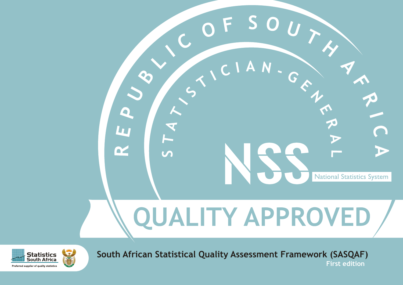

# QUALITY APPROVED



**South African Statistical Quality Assessment Framework (SASQAF) First edition**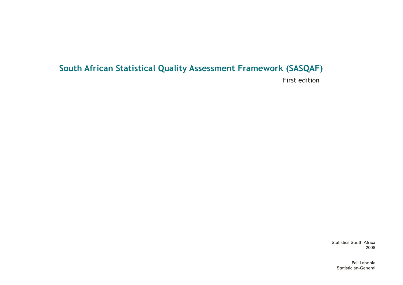# **South African Statistical Quality Assessment Framework (SASQAF)**

First edition

Statistics South Africa 2008

> Pali Lehohla Statistician-General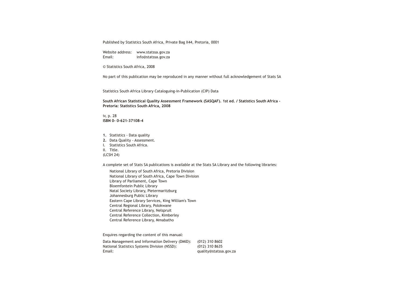Published by Statistics South Africa, Private Bag X44, Pretoria, 0001

Website address: www.statssa.gov.za Email: info@statssa.gov.za

© Statistics South Africa, 2008

No part of this publication may be reproduced in any manner without full acknowledgement of Stats SA

Statistics South Africa Library Cataloguing-in-Publication (CIP) Data

**South African Statistical Quality Assessment Framework (SASQAF). 1st ed. / Statistics South Africa - Pretoria: Statistics South Africa, 2008**

iv, p. 28 **ISBN 0- 0-621-37108-4**

- **1.** Statistics Data quality
- **2.** Data Quality Assessment.
- I. Statistics South Africa.

II. Title. (LCSH 24)

A complete set of Stats SA publications is available at the Stats SA Library and the following libraries:

National Library of South Africa, Pretoria Division National Library of South Africa, Cape Town Division Library of Parliament, Cape Town Bloemfontein Public Library Natal Society Library, Pietermaritzburg Johannesburg Public Library Eastern Cape Library Services, King William's Town Central Regional Library, Polokwane Central Reference Library, Nelspruit Central Reference Collection, Kimberley Central Reference Library, Mmabatho

Enquires regarding the content of this manual:

| Data Management and Information Delivery (DMID): | (012) 310 8602         |
|--------------------------------------------------|------------------------|
| National Statistics Systems Division (NSSD):     | (012) 310 8635         |
| Email:                                           | quality@statssa.gov.za |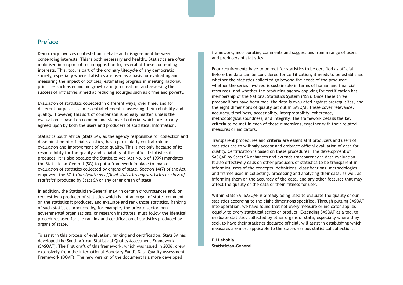#### **Preface**

Democracy involves contestation, debate and disagreement between contending interests. This is both necessary and healthy. Statistics are often mobilised in support of, or in opposition to, several of these contending interests. This, too, is part of the ordinary lifecycle of any democratic society, especially where statistics are used as a basis for evaluating and measuring the impact of policies, estimating progress in meeting national priorities such as economic growth and job creation, and assessing the success of initiatives aimed at reducing scourges such as crime and poverty.

Evaluation of statistics collected in different ways, over time, and for different purposes, is an essential element in assessing their reliability and quality. However, this sort of comparison is no easy matter, unless the evaluation is based on common and standard criteria, which are broadly agreed upon by both the users and producers of statistical information.

Statistics South Africa (Stats SA), as the agency responsible for collection and dissemination of official statistics, has a particularly central role in evaluation and improvement of data quality. This is not only because of its responsibility for the quality and reliability of the official statistics it produces. It is also because the Statistics Act (Act No. 6 of 1999) mandates the Statistician-General (SG) to put a framework in place to enable evaluation of statistics collected by organs of state. Section 14(7) of the Act empowers the SG to '*designate as official statistics any statistics or class of statistics*' produced by Stats SA or any other organ of state.

In addition, the Statistician-General may, in certain circumstances and, on request by a producer of statistics which is not an organ of state, comment on the statistics it produces, and evaluate and rank those statistics. Ranking of such statistics produced by, for example, the private sector, nongovernmental organisations, or research institutes, must follow the identical procedures used for the ranking and certification of statistics produced by organs of state.

To assist in this process of evaluation, ranking and certification, Stats SA has developed the South African Statistical Quality Assessment Framework (SASQAF). The first draft of this framework, which was issued in 2006, drew extensively from the International Monetary Fund's Data Quality Assessment Framework (DQAF). The new version of the document is a more developed

framework, incorporating comments and suggestions from a range of users and producers of statistics.

Four requirements have to be met for statistics to be certified as official. Before the data can be considered for certification, it needs to be established whether the statistics collected go beyond the needs of the producer; whether the series involved is sustainable in terms of human and financial resources; and whether the producing agency applying for certification has membership of the National Statistics System (NSS). Once these three preconditions have been met, the data is evaluated against prerequisites, and the eight dimensions of quality set out in SASQAF. These cover relevance, accuracy, timeliness, accessibility, interpretability, coherence, methodological soundness, and integrity. The framework details the key criteria to be met in each of these dimensions, together with their related measures or indicators.

Transparent procedures and criteria are essential if producers and users of statistics are to willingly accept and embrace official evaluation of data for quality. Certification is based on these procedures. The development of SASQAF by Stats SA enhances and extends transparency in data evaluation. It also effectively calls on other producers of statistics to be transparent in informing users of the concepts, definitions, classifications, methodologies, and frames used in collecting, processing and analysing their data, as well as informing them on the accuracy of the data, and any other features that may affect the quality of the data or their "fitness for use".

Within Stats SA, SASQAF is already being used to evaluate the quality of our statistics according to the eight dimensions specified. Through putting SASQAF into operation, we have found that not every measure or indicator applies equally to every statistical series or product. Extending SASQAF as a tool to evaluate statistics collected by other organs of state, especially where they seek to have their statistics declared official, will assist in establishing which measures are most applicable to the state's various statistical collections.

**PJ Lehohla Statistician-General**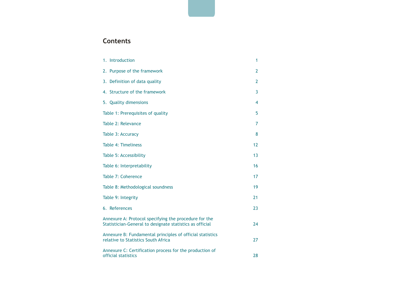# **Contents**

| 1. Introduction                                                                                                   | 1              |
|-------------------------------------------------------------------------------------------------------------------|----------------|
| 2. Purpose of the framework                                                                                       | 2              |
| 3. Definition of data quality                                                                                     | $\overline{2}$ |
| 4. Structure of the framework                                                                                     | 3              |
| 5. Quality dimensions                                                                                             | 4              |
| Table 1: Prerequisites of quality                                                                                 | 5              |
| Table 2: Relevance                                                                                                | 7              |
| Table 3: Accuracy                                                                                                 | 8              |
| Table 4: Timeliness                                                                                               | 12             |
| Table 5: Accessibility                                                                                            | 13             |
| Table 6: Interpretability                                                                                         | 16             |
| Table 7: Coherence                                                                                                | 17             |
| Table 8: Methodological soundness                                                                                 | 19             |
| Table 9: Integrity                                                                                                | 21             |
| 6. References                                                                                                     | 23             |
| Annexure A: Protocol specifying the procedure for the<br>Statistician-General to designate statistics as official | 24             |
| Annexure B: Fundamental principles of official statistics<br>relative to Statistics South Africa                  | 27             |
| Annexure C: Certification process for the production of<br>official statistics                                    | 28             |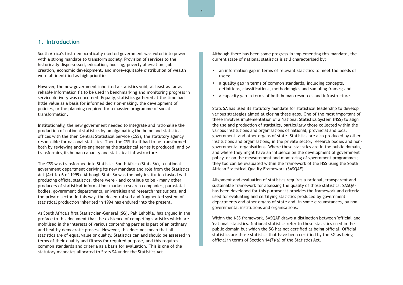#### **1. Introduction**

South Africa's first democratically elected government was voted into power with a strong mandate to transform society. Provision of services to the historically dispossessed, education, housing, poverty alleviation, job creation, economic development, and more-equitable distribution of wealth were all identified as high priorities.

However, the new government inherited a statistics void, at least as far as reliable information fit to be used in benchmarking and monitoring progress in service delivery was concerned. Equally, statistics gathered at the time had little value as a basis for informed decision-making, the development of policies, or the planning required for a massive programme of social transformation.

Institutionally, the new government needed to integrate and rationalise the production of national statistics by amalgamating the homeland statistical offices with the then Central Statistical Service (CSS), the statutory agency responsible for national statistics. Then the CSS itself had to be transformed both by reviewing and re-engineering the statistical series it produced, and by transforming its human capacity and statistical infrastructure.

The CSS was transformed into Statistics South Africa (Stats SA), a national government department deriving its new mandate and role from the Statistics Act (Act No.6 of 1999). Although Stats SA was the only institution tasked with producing official statistics, there were – and continue to be – many other producers of statistical information: market research companies, parastatal bodies, government departments, universities and research institutions, and the private sector. In this way, the decentralised and fragmented system of statistical production inherited in 1994 has endured into the present.

As South Africa's first Statistician-General (SG), Pali Lehohla, has argued in the preface to this document that the existence of competing statistics which are mobilised in the interests of various contending parties is part of an ordinary and healthy democratic process. However, this does not mean that all statistics are of equal value or quality. Statistics can and should be assessed in terms of their quality and fitness for required purpose, and this requires common standards and criteria as a basis for evaluation. This is one of the statutory mandates allocated to Stats SA under the Statistics Act.

Although there has been some progress in implementing this mandate, the current state of national statistics is still characterised by:

- an information gap in terms of relevant statistics to meet the needs of users;
- a quality gap in terms of common standards, including concepts, definitions, classifications, methodologies and sampling frames; and
- a capacity gap in terms of both human resources and infrastructure.

Stats SA has used its statutory mandate for statistical leadership to develop various strategies aimed at closing these gaps. One of the most important of these involves implementation of a National Statistics System (NSS) to align the use and production of statistics, particularly those collected within the various institutions and organisations of national, provincial and local government, and other organs of state. Statistics are also produced by other institutions and organisations, in the private sector, research bodies and nongovernmental organisations. Where these statistics are in the public domain, and where they might have an influence on the development of government policy, or on the measurement and monitoring of government programmes; they too can be evaluated within the framework of the NSS using the South African Statistical Quality Framework (SASQAF).

Alignment and evaluation of statistics requires a rational, transparent and sustainable framework for assessing the quality of those statistics. SASQAF has been developed for this purpose: it provides the framework and criteria used for evaluating and certifying statistics produced by government departments and other organs of state and, in some circumstances, by nongovernmental institutions and organisations.

Within the NSS framework, SASQAF draws a distinction between 'official' and 'national' statistics. National statistics refer to those statistics used in the public domain but which the SG has not certified as being official. Official statistics are those statistics that have been certified by the SG as being official in terms of Section 14(7)(a) of the Statistics Act.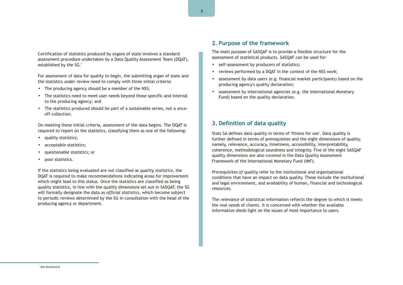**2**

Certification of statistics produced by organs of state involves a standard assessment procedure undertaken by a Data Quality Assessment Team (DQAT), established by the SG. $^{\prime}$ 

For assessment of data for quality to begin, the submitting organ of state and the statistics under review need to comply with three initial criteria:

- The producing agency should be a member of the NSS;
- The statistics need to meet user needs beyond those specific and internal to the producing agency; and
- The statistics produced should be part of a sustainable series, not a onceoff collection.

On meeting these initial criteria, assessment of the data begins. The DQAT is required to report on the statistics, classifying them as one of the following:

- quality statistics;
- acceptable statistics;
- questionable statistics; or
- poor statistics.

If the statistics being evaluated are not classified as *quality statistics*, the DQAT is required to make recommendations indicating areas for improvement which might lead to this status. Once the statistics are classified as being quality statistics, in line with the quality dimensions set out in SASQAF, the SG will formally designate the data as *official statistics*, which become subject to periodic reviews determined by the SG in consultation with the head of the producing agency or department.

## **2. Purpose of the framework**

The main purpose of SASQAF is to provide a flexible structure for the assessment of statistical products. SASQAF can be used for:

- self-assessment by producers of statistics;
- reviews performed by a DQAT in the context of the NSS work;
- assessment by data users (e.g. financial market participants) based on the producing agency's quality declaration;
- assessment by international agencies (e.g. the International Monetary Fund) based on the quality declaration.

## **3. Definition of data quality**

Stats SA defines data quality in terms of 'fitness for use'. Data quality is further defined in terms of prerequisites and the eight dimensions of quality, namely, relevance, accuracy, timeliness, accessibility, interpretability, coherence, methodological soundness and integrity. Five of the eight SASQAF quality dimensions are also covered in the Data Quality Assessment Framework of the International Monetary Fund (IMF).

*Prerequisites of quality* refer to the institutional and organisational conditions that have an impact on data quality. These include the institutional and legal environment, and availability of human, financial and technological resources.

The *relevance* of statistical information reflects the degree to which it meets the real needs of clients. It is concerned with whether the available information sheds light on the issues of most importance to users.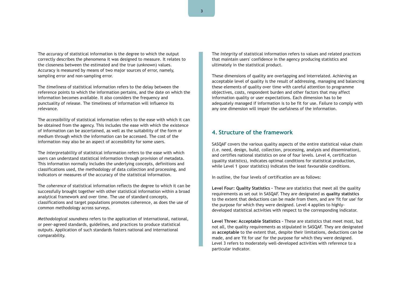The *accuracy* of statistical information is the degree to which the output correctly describes the phenomena it was designed to measure. It relates to the closeness between the estimated and the true (unknown) values. Accuracy is measured by means of two major sources of error, namely, sampling error and non-sampling error.

The *timeliness* of statistical information refers to the delay between the reference points to which the information pertains, and the date on which the information becomes available. It also considers the frequency and punctuality of release. The timeliness of information will influence its relevance.

The *accessibility* of statistical information refers to the ease with which it can be obtained from the agency. This includes the ease with which the existence of information can be ascertained, as well as the suitability of the form or medium through which the information can be accessed. The cost of the information may also be an aspect of accessibility for some users.

The *interpretability* of statistical information refers to the ease with which users can understand statistical information through provision of metadata. This information normally includes the underlying concepts, definitions and classifications used, the methodology of data collection and processing, and indicators or measures of the accuracy of the statistical information.

The *coherence* of statistical information reflects the degree to which it can be successfully brought together with other statistical information within a broad analytical framework and over time. The use of standard concepts, classifications and target populations promotes coherence, as does the use of common methodology across surveys.

*Methodological soundness* refers to the application of international, national, or peer-agreed standards, guidelines, and practices to produce statistical outputs. Application of such standards fosters national and international comparability.

The *integrity* of statistical information refers to values and related practices that maintain users' confidence in the agency producing statistics and ultimately in the statistical product.

These dimensions of quality are overlapping and interrelated. Achieving an acceptable level of quality is the result of addressing, managing and balancing these elements of quality over time with careful attention to programme objectives, costs, respondent burden and other factors that may affect information quality or user expectations. Each dimension has to be adequately managed if information is to be fit for use. Failure to comply with any one dimension will impair the usefulness of the information.

## **4. Structure of the framework**

SASQAF covers the various quality aspects of the entire statistical value chain (i.e. need, design, build, collection, processing, analysis and dissemination), and certifies national statistics on one of four levels. Level 4, certification (quality statistics), indicates optimal conditions for statistical production, while Level 1 (poor statistics) indicates the least favourable conditions.

In outline, the four levels of certification are as follows:

**Level Four: Quality Statistics –** These are statistics that meet all the quality requirements as set out in SASQAF. They are designated as **quality statistics** to the extent that deductions can be made from them, and are 'fit for use' for the purpose for which they were designed. Level 4 applies to highlydeveloped statistical activities with respect to the corresponding indicator.

**Level Three: Acceptable Statistics –** These are statistics that meet most, but not all, the quality requirements as stipulated in SASQAF. They are designated as **acceptable** to the extent that, despite their limitations, deductions can be made, and are 'fit for use' for the purpose for which they were designed. Level 3 refers to moderately well-developed activities with reference to a particular indicator.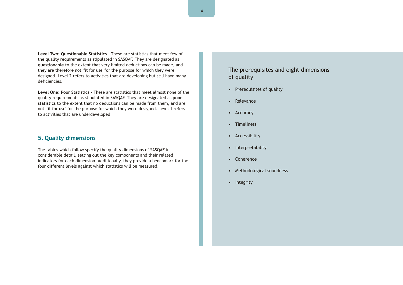**Level Two: Questionable Statistics –** These are statistics that meet few of the quality requirements as stipulated in SASQAF. They are designated as **questionable** to the extent that very limited deductions can be made, and they are therefore not 'fit for use' for the purpose for which they were designed. Level 2 refers to activities that are developing but still have many deficiencies.

**Level One: Poor Statistics –** These are statistics that meet almost none of the quality requirements as stipulated in SASQAF. They are designated as **poor statistics** to the extent that no deductions can be made from them, and are not 'fit for use' for the purpose for which they were designed. Level 1 refers to activities that are underdeveloped.

#### **5. Quality dimensions**

The tables which follow specify the quality dimensions of SASQAF in considerable detail, setting out the key components and their related indicators for each dimension. Additionally, they provide a benchmark for the four different levels against which statistics will be measured.

## The prerequisites and eight dimensions of quality

- Prerequisites of quality
- Relevance
- Accuracy
- Timeliness
- Accessibility
- Interpretability
- Coherence
- Methodological soundness
- Integrity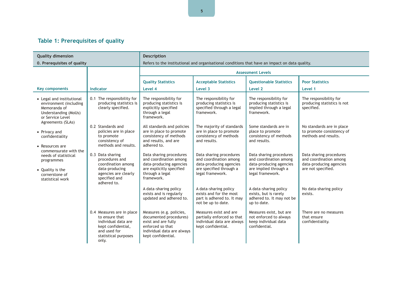# **Table 1: Prerequisites of quality**

| <b>Quality dimension</b>                                                                                                                                                                                                                                                                                                                                                                                                       |                                                                                                                                           | <b>Description</b>                                                                                                                                |                                                                                                                             |                                                                                                                           |                                                                                                    |  |  |
|--------------------------------------------------------------------------------------------------------------------------------------------------------------------------------------------------------------------------------------------------------------------------------------------------------------------------------------------------------------------------------------------------------------------------------|-------------------------------------------------------------------------------------------------------------------------------------------|---------------------------------------------------------------------------------------------------------------------------------------------------|-----------------------------------------------------------------------------------------------------------------------------|---------------------------------------------------------------------------------------------------------------------------|----------------------------------------------------------------------------------------------------|--|--|
| 0. Prerequisites of quality                                                                                                                                                                                                                                                                                                                                                                                                    |                                                                                                                                           | Refers to the institutional and organisational conditions that have an impact on data quality.                                                    |                                                                                                                             |                                                                                                                           |                                                                                                    |  |  |
|                                                                                                                                                                                                                                                                                                                                                                                                                                |                                                                                                                                           |                                                                                                                                                   |                                                                                                                             | <b>Assessment Levels</b>                                                                                                  |                                                                                                    |  |  |
| <b>Key components</b>                                                                                                                                                                                                                                                                                                                                                                                                          | <b>Indicator</b>                                                                                                                          | <b>Quality Statistics</b><br>Level 4                                                                                                              | <b>Acceptable Statistics</b><br>Level 3                                                                                     | <b>Questionable Statistics</b><br>Level 2                                                                                 | <b>Poor Statistics</b><br>Level 1                                                                  |  |  |
| • Legal and institutional<br>environment (including<br>Memoranda of<br>Understanding (MoUs)<br>or Service Level                                                                                                                                                                                                                                                                                                                | 0.1 The responsibility for<br>producing statistics is<br>clearly specified.                                                               | The responsibility for<br>producing statistics is<br>explicitly specified<br>through a legal<br>framework.                                        | The responsibility for<br>producing statistics is<br>specified through a legal<br>framework.                                | The responsibility for<br>producing statistics is<br>implied through a legal<br>framework.                                | The responsibility for<br>producing statistics is not<br>specified.                                |  |  |
| Agreements (SLAs)<br>0.2 Standards and<br>policies are in place<br>• Privacy and<br>to promote<br>confidentiality<br>consistency of<br>methods and results.<br>• Resources are<br>commensurate with the<br>0.3 Data sharing<br>needs of statistical<br>procedures and<br>programmes<br>coordination among<br>data-producing<br>• Quality is the<br>agencies are clearly<br>cornerstone of<br>specified and<br>statistical work |                                                                                                                                           | All standards and policies<br>are in place to promote<br>consistency of methods<br>and results, and are<br>adhered to.                            | The majority of standards<br>are in place to promote<br>consistency of methods<br>and results.                              | Some standards are in<br>place to promote<br>consistency of methods<br>and results.                                       | No standards are in place<br>to promote consistency of<br>methods and results.                     |  |  |
|                                                                                                                                                                                                                                                                                                                                                                                                                                | adhered to.                                                                                                                               | Data sharing procedures<br>and coordination among<br>data-producing agencies<br>are explicitly specified<br>through a legal<br>framework.         | Data sharing procedures<br>and coordination among<br>data-producing agencies<br>are specified through a<br>legal framework. | Data sharing procedures<br>and coordination among<br>data-producing agencies<br>are implied through a<br>legal framework. | Data sharing procedures<br>and coordination among<br>data-producing agencies<br>are not specified. |  |  |
|                                                                                                                                                                                                                                                                                                                                                                                                                                |                                                                                                                                           | A data-sharing policy<br>exists and is regularly<br>updated and adhered to.                                                                       | A data-sharing policy<br>exists and for the most<br>part is adhered to. It may<br>not be up to date.                        | A data-sharing policy<br>exists, but is rarely<br>adhered to. It may not be<br>up to date.                                | No data-sharing policy<br>exists.                                                                  |  |  |
|                                                                                                                                                                                                                                                                                                                                                                                                                                | 0.4 Measures are in place<br>to ensure that<br>individual data are<br>kept confidential,<br>and used for<br>statistical purposes<br>only. | Measures (e.g. policies,<br>documented procedures)<br>exist and are fully<br>enforced so that<br>individual data are always<br>kept confidential. | Measures exist and are<br>partially enforced so that<br>individual data are always<br>kept confidential.                    | Measures exist, but are<br>not enforced to always<br>keep individual data<br>confidential.                                | There are no measures<br>that ensure<br>confidentiality.                                           |  |  |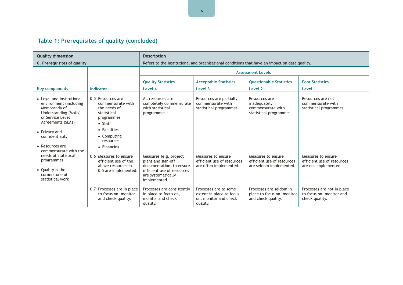# **Table 1: Prerequisites of quality (concluded)**

| <b>Quality dimension</b>                                                                                                                                                 |                                                                                                                                                    | <b>Description</b>                                                                                                                           |                                                                                        |                                                                                                |                                                                          |
|--------------------------------------------------------------------------------------------------------------------------------------------------------------------------|----------------------------------------------------------------------------------------------------------------------------------------------------|----------------------------------------------------------------------------------------------------------------------------------------------|----------------------------------------------------------------------------------------|------------------------------------------------------------------------------------------------|--------------------------------------------------------------------------|
| 0. Prerequisites of quality                                                                                                                                              |                                                                                                                                                    |                                                                                                                                              |                                                                                        | Refers to the institutional and organisational conditions that have an impact on data quality. |                                                                          |
|                                                                                                                                                                          |                                                                                                                                                    |                                                                                                                                              |                                                                                        | <b>Assessment Levels</b>                                                                       |                                                                          |
|                                                                                                                                                                          |                                                                                                                                                    | <b>Quality Statistics</b>                                                                                                                    | <b>Acceptable Statistics</b>                                                           | <b>Questionable Statistics</b>                                                                 | <b>Poor Statistics</b>                                                   |
| <b>Key components</b>                                                                                                                                                    | <b>Indicator</b>                                                                                                                                   | Level 4                                                                                                                                      | Level 3                                                                                | Level 2                                                                                        | Level 1                                                                  |
| • Legal and institutional<br>environment (including<br>Memoranda of<br>Understanding (MoUs)<br>or Service Level<br>Agreements (SLAs)<br>• Privacy and<br>confidentiality | 0.5 Resources are<br>commensurate with<br>the needs of<br>statistical<br>programmes<br>$\bullet$ Staff<br>• Facilities<br>• Computing<br>resources | All resources are<br>completely commensurate<br>with statistical<br>programmes.                                                              | Resources are partially<br>commensurate with<br>statistical programmes.                | Resources are<br>inadequately<br>commensurate with<br>statistical programmes.                  | Resources are not<br>commensurate with<br>statistical programmes.        |
| • Resources are<br>commensurate with the<br>needs of statistical<br>programmes<br>• Quality is the<br>cornerstone of<br>statistical work                                 | • Financing.<br>0.6 Measures to ensure<br>efficient use of the<br>above resources in<br>0.5 are implemented.                                       | Measures (e.g. project<br>plans and sign-off<br>documentation) to ensure<br>efficient use of resources<br>are systematically<br>implemented. | Measures to ensure<br>efficient use of resources<br>are often implemented.             | Measures to ensure<br>efficient use of resources<br>are seldom implemented.                    | Measures to ensure<br>efficient use of resources<br>are not implemented. |
|                                                                                                                                                                          | 0.7 Processes are in place<br>to focus on, monitor<br>and check quality.                                                                           | Processes are consistently<br>in place to focus on,<br>monitor and check<br>quality.                                                         | Processes are to some<br>extent in place to focus<br>on, monitor and check<br>quality. | Processes are seldom in<br>place to focus on, monitor<br>and check quality.                    | Processes are not in place<br>to focus on, monitor and<br>check quality. |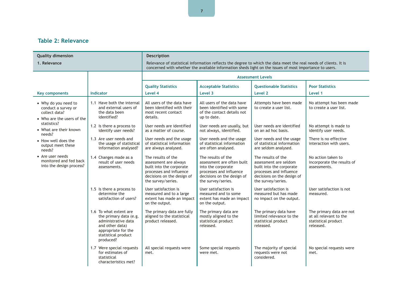## **Table 2: Relevance**

| <b>Quality dimension</b>                                                                                                                                                                                                                                                                  |                                                                                                                                                       | <b>Description</b>                                                                                                                                                                                                          |                                                                                                                                                       |                                                                                                                                                        |                                                                                        |  |  |
|-------------------------------------------------------------------------------------------------------------------------------------------------------------------------------------------------------------------------------------------------------------------------------------------|-------------------------------------------------------------------------------------------------------------------------------------------------------|-----------------------------------------------------------------------------------------------------------------------------------------------------------------------------------------------------------------------------|-------------------------------------------------------------------------------------------------------------------------------------------------------|--------------------------------------------------------------------------------------------------------------------------------------------------------|----------------------------------------------------------------------------------------|--|--|
| 1. Relevance                                                                                                                                                                                                                                                                              |                                                                                                                                                       | Relevance of statistical information reflects the degree to which the data meet the real needs of clients. It is<br>concerned with whether the available information sheds light on the issues of most importance to users. |                                                                                                                                                       |                                                                                                                                                        |                                                                                        |  |  |
|                                                                                                                                                                                                                                                                                           |                                                                                                                                                       |                                                                                                                                                                                                                             | <b>Assessment Levels</b>                                                                                                                              |                                                                                                                                                        |                                                                                        |  |  |
|                                                                                                                                                                                                                                                                                           |                                                                                                                                                       | <b>Quality Statistics</b>                                                                                                                                                                                                   | <b>Acceptable Statistics</b>                                                                                                                          | <b>Ouestionable Statistics</b>                                                                                                                         | <b>Poor Statistics</b>                                                                 |  |  |
| <b>Key components</b>                                                                                                                                                                                                                                                                     | <b>Indicator</b>                                                                                                                                      | Level 4                                                                                                                                                                                                                     | Level 3                                                                                                                                               | Level 2                                                                                                                                                | Level 1                                                                                |  |  |
| 1.1 Have both the internal<br>• Why do you need to<br>and external users of<br>conduct a survey or<br>the data been<br>collect data?<br>identified?<br>• Who are the users of the<br>statistics?<br>1.2 Is there a process to<br>• What are their known<br>identify user needs?<br>needs? | All users of the data have<br>been identified with their<br>most recent contact<br>details.                                                           | All users of the data have<br>been identified with some<br>of the contact details not<br>up to date.                                                                                                                        | Attempts have been made<br>to create a user list.                                                                                                     | No attempt has been made<br>to create a user list.                                                                                                     |                                                                                        |  |  |
|                                                                                                                                                                                                                                                                                           |                                                                                                                                                       | User needs are identified<br>as a matter of course.                                                                                                                                                                         | User needs are usually, but<br>not always, identified.                                                                                                | User needs are identified<br>on an ad hoc basis.                                                                                                       | No attempt is made to<br>identify user needs.                                          |  |  |
| • How well does the<br>output meet these<br>needs?                                                                                                                                                                                                                                        | 1.3 Are user needs and<br>the usage of statistical<br>information analysed?                                                                           | User needs and the usage<br>of statistical information<br>are always analysed.                                                                                                                                              | User needs and the usage<br>of statistical information<br>are often analysed.                                                                         | User needs and the usage<br>of statistical information<br>are seldom analysed.                                                                         | There is no effective<br>interaction with users.                                       |  |  |
| • Are user needs<br>monitored and fed back<br>into the design process?                                                                                                                                                                                                                    | 1.4 Changes made as a<br>result of user needs<br>assessments.                                                                                         | The results of the<br>assessment are always<br>built into the corporate<br>processes and influence<br>decisions on the design of<br>the survey/series.                                                                      | The results of the<br>assessment are often built<br>into the corporate<br>processes and influence<br>decisions on the design of<br>the survey/series. | The results of the<br>assessment are seldom<br>built into the corporate<br>processes and influence<br>decisions on the design of<br>the survey/series. | No action taken to<br>incorporate the results of<br>assessments.                       |  |  |
|                                                                                                                                                                                                                                                                                           | 1.5 Is there a process to<br>determine the<br>satisfaction of users?                                                                                  | User satisfaction is<br>measured and to a large<br>extent has made an impact<br>on the output.                                                                                                                              | User satisfaction is<br>measured and to some<br>extent has made an impact<br>on the output.                                                           | User satisfaction is<br>measured but has made<br>no impact on the output.                                                                              | User satisfaction is not<br>measured.                                                  |  |  |
|                                                                                                                                                                                                                                                                                           | 1.6 To what extent are<br>the primary data (e.g.<br>administrative data<br>and other data)<br>appropriate for the<br>statistical product<br>produced? | The primary data are fully<br>aligned to the statistical<br>product released.                                                                                                                                               | The primary data are<br>mostly aligned to the<br>statistical product<br>released.                                                                     | The primary data have<br>limited relevance to the<br>statistical product<br>released.                                                                  | The primary data are not<br>at all relevant to the<br>statistical product<br>released. |  |  |
|                                                                                                                                                                                                                                                                                           | 1.7 Were special requests<br>for estimates of<br>statistical<br>characteristics met?                                                                  | All special requests were<br>met.                                                                                                                                                                                           | Some special requests<br>were met.                                                                                                                    | The majority of special<br>requests were not<br>considered.                                                                                            | No special requests were<br>met.                                                       |  |  |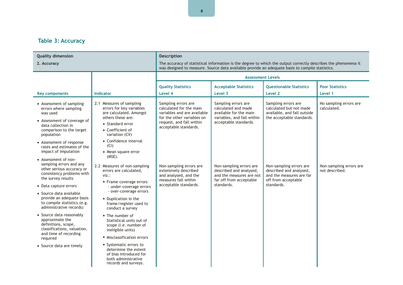# **Table 3: Accuracy**

| <b>Quality dimension</b>                                                                                                                                                                                                                                                                                                                                                                                                                                                                                                                                                                                                                                                                           |                                                                                                                                                                                                                                                                                                                                                                                                                                                                                                                                                                                                                   | Description                                                                                                                                                                                                                                                                                    |                                                                                                                                                                                                                                                        |                                                                                                                                                                                                                                   |                                                                                    |
|----------------------------------------------------------------------------------------------------------------------------------------------------------------------------------------------------------------------------------------------------------------------------------------------------------------------------------------------------------------------------------------------------------------------------------------------------------------------------------------------------------------------------------------------------------------------------------------------------------------------------------------------------------------------------------------------------|-------------------------------------------------------------------------------------------------------------------------------------------------------------------------------------------------------------------------------------------------------------------------------------------------------------------------------------------------------------------------------------------------------------------------------------------------------------------------------------------------------------------------------------------------------------------------------------------------------------------|------------------------------------------------------------------------------------------------------------------------------------------------------------------------------------------------------------------------------------------------------------------------------------------------|--------------------------------------------------------------------------------------------------------------------------------------------------------------------------------------------------------------------------------------------------------|-----------------------------------------------------------------------------------------------------------------------------------------------------------------------------------------------------------------------------------|------------------------------------------------------------------------------------|
| 2. Accuracy                                                                                                                                                                                                                                                                                                                                                                                                                                                                                                                                                                                                                                                                                        |                                                                                                                                                                                                                                                                                                                                                                                                                                                                                                                                                                                                                   | The accuracy of statistical information is the degree to which the output correctly describes the phenomena it<br>was designed to measure. Source data available provide an adequate basis to compile statistics.                                                                              |                                                                                                                                                                                                                                                        |                                                                                                                                                                                                                                   |                                                                                    |
|                                                                                                                                                                                                                                                                                                                                                                                                                                                                                                                                                                                                                                                                                                    |                                                                                                                                                                                                                                                                                                                                                                                                                                                                                                                                                                                                                   |                                                                                                                                                                                                                                                                                                | <b>Assessment Levels</b>                                                                                                                                                                                                                               |                                                                                                                                                                                                                                   |                                                                                    |
| <b>Key components</b>                                                                                                                                                                                                                                                                                                                                                                                                                                                                                                                                                                                                                                                                              | <b>Indicator</b>                                                                                                                                                                                                                                                                                                                                                                                                                                                                                                                                                                                                  | <b>Quality Statistics</b><br>Level 4                                                                                                                                                                                                                                                           | <b>Acceptable Statistics</b><br>Level 3                                                                                                                                                                                                                | <b>Questionable Statistics</b><br>Level 2                                                                                                                                                                                         | <b>Poor Statistics</b><br>Level 1                                                  |
| • Assessment of sampling<br>errors where sampling<br>was used<br>• Assessment of coverage of<br>data collection in<br>comparison to the target<br>population<br>• Assessment of response<br>rates and estimates of the<br>impact of imputation<br>• Assessment of non-<br>sampling errors and any<br>other serious accuracy or<br>consistency problems with<br>the survey results<br>• Data capture errors<br>• Source data available<br>provide an adequate basis<br>to compile statistics.(e.g.<br>administrative records)<br>• Source data reasonably<br>approximate the<br>definitions, scope,<br>classifications, valuation,<br>and time of recording<br>required<br>• Source data are timely | 2.1 Measures of sampling<br>errors for key variables<br>are calculated. Amongst<br>others these are:<br>• Standard error<br>• Coefficient of<br>variation (CV)<br>• Confidence interval<br>(CI)<br>• Mean square error<br>$(MSE)$ .<br>2.2 Measures of non-sampling<br>errors are calculated.<br>viz.:<br>• Frame coverage errors<br>- under-coverage errors<br>- over-coverage errors<br>• Duplication in the<br>frame/register used to<br>conduct a survey<br>• The number of<br>Statistical units out of<br>scope (i.e. number of<br>ineligible units)<br>• Misclassification errors<br>• Systematic errors to | Sampling errors are<br>calculated for the main<br>variables and are available<br>for the other variables on<br>request, and fall within<br>acceptable standards.<br>Non-sampling errors are<br>extensively described<br>and analysed, and the<br>measures fall within<br>acceptable standards. | Sampling errors are<br>calculated and made<br>available for the main<br>variables, and fall within<br>acceptable standards.<br>Non-sampling errors are<br>described and analysed,<br>and the measures are not<br>far off from acceptable<br>standards. | Sampling errors are<br>calculated but not made<br>available, and fall outside<br>the acceptable standards.<br>Non-sampling errors are<br>described and analysed,<br>and the measures are far<br>off from acceptable<br>standards. | No sampling errors are<br>calculated.<br>Non-sampling errors are<br>not described. |
|                                                                                                                                                                                                                                                                                                                                                                                                                                                                                                                                                                                                                                                                                                    | determine the extent<br>of bias introduced for<br>both administrative<br>records and surveys.                                                                                                                                                                                                                                                                                                                                                                                                                                                                                                                     |                                                                                                                                                                                                                                                                                                |                                                                                                                                                                                                                                                        |                                                                                                                                                                                                                                   |                                                                                    |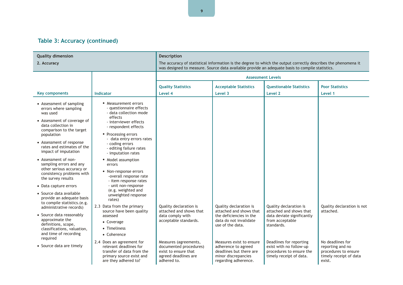# **Table 3: Accuracy (continued)**

| <b>Quality dimension</b>                                                                                                                                                                                                                                                                                                                                                                                                                                                                                                                                                                                                                                               |                                                                                                                                                                                                                                                                                                                                                                                                                                                                                                                                                                           | Description                                                                                                                                                                                                       |                                                                                                                            |                                                                                                                  |                                                                                                  |  |
|------------------------------------------------------------------------------------------------------------------------------------------------------------------------------------------------------------------------------------------------------------------------------------------------------------------------------------------------------------------------------------------------------------------------------------------------------------------------------------------------------------------------------------------------------------------------------------------------------------------------------------------------------------------------|---------------------------------------------------------------------------------------------------------------------------------------------------------------------------------------------------------------------------------------------------------------------------------------------------------------------------------------------------------------------------------------------------------------------------------------------------------------------------------------------------------------------------------------------------------------------------|-------------------------------------------------------------------------------------------------------------------------------------------------------------------------------------------------------------------|----------------------------------------------------------------------------------------------------------------------------|------------------------------------------------------------------------------------------------------------------|--------------------------------------------------------------------------------------------------|--|
| 2. Accuracy                                                                                                                                                                                                                                                                                                                                                                                                                                                                                                                                                                                                                                                            |                                                                                                                                                                                                                                                                                                                                                                                                                                                                                                                                                                           | The accuracy of statistical information is the degree to which the output correctly describes the phenomena it<br>was designed to measure. Source data available provide an adequate basis to compile statistics. |                                                                                                                            |                                                                                                                  |                                                                                                  |  |
|                                                                                                                                                                                                                                                                                                                                                                                                                                                                                                                                                                                                                                                                        |                                                                                                                                                                                                                                                                                                                                                                                                                                                                                                                                                                           |                                                                                                                                                                                                                   |                                                                                                                            | <b>Assessment Levels</b>                                                                                         |                                                                                                  |  |
|                                                                                                                                                                                                                                                                                                                                                                                                                                                                                                                                                                                                                                                                        |                                                                                                                                                                                                                                                                                                                                                                                                                                                                                                                                                                           | <b>Quality Statistics</b>                                                                                                                                                                                         | <b>Acceptable Statistics</b>                                                                                               | <b>Ouestionable Statistics</b>                                                                                   | <b>Poor Statistics</b>                                                                           |  |
| <b>Key components</b>                                                                                                                                                                                                                                                                                                                                                                                                                                                                                                                                                                                                                                                  | Indicator                                                                                                                                                                                                                                                                                                                                                                                                                                                                                                                                                                 | Level 4                                                                                                                                                                                                           | Level 3                                                                                                                    | Level 2                                                                                                          | Level 1                                                                                          |  |
| • Assessment of sampling<br>errors where sampling<br>was used<br>• Assessment of coverage of<br>data collection in<br>comparison to the target<br>population<br>• Assessment of response<br>rates and estimates of the<br>impact of imputation<br>• Assessment of non-<br>sampling errors and any<br>other serious accuracy or<br>consistency problems with<br>the survey results<br>• Data capture errors<br>• Source data available<br>provide an adequate basis<br>to compile statistics.(e.g.<br>administrative records)<br>• Source data reasonably<br>approximate the<br>definitions, scope,<br>classifications, valuation,<br>and time of recording<br>required | • Measurement errors<br>- questionnaire effects<br>- data collection mode<br>effects<br>- interviewer effects<br>- respondent effects<br>• Processing errors<br>- data entry errors rates<br>- coding errors<br>- editing failure rates<br>- imputation rates<br>• Model assumption<br>errors<br>• Non-response errors<br>-overall response rate<br>- item response rates<br>- unit non-response<br>(e.g. weighted and<br>unweighted response<br>rates)<br>2.3 Data from the primary<br>source have been quality<br>assessed<br>• Coverage<br>• Timeliness<br>• Coherence | Quality declaration is<br>attached and shows that<br>data comply with<br>acceptable standards.                                                                                                                    | Quality declaration is<br>attached and shows that<br>the deficiencies in the<br>data do not invalidate<br>use of the data. | Quality declaration is<br>attached and shows that<br>data deviate significantly<br>from acceptable<br>standards. | Quality declaration is not<br>attached.                                                          |  |
| • Source data are timely                                                                                                                                                                                                                                                                                                                                                                                                                                                                                                                                                                                                                                               | 2.4 Does an agreement for<br>relevant deadlines for<br>transfer of data from the<br>primary source exist and<br>are they adhered to?                                                                                                                                                                                                                                                                                                                                                                                                                                      | Measures (agreements,<br>documented procedures)<br>exist to ensure that<br>agreed deadlines are<br>adhered to.                                                                                                    | Measures exist to ensure<br>adherence to agreed<br>deadlines but there are<br>minor discrepancies<br>regarding adherence.  | Deadlines for reporting<br>exist with no follow-up<br>procedures to ensure the<br>timely receipt of data.        | No deadlines for<br>reporting and no<br>procedures to ensure<br>timely receipt of data<br>exist. |  |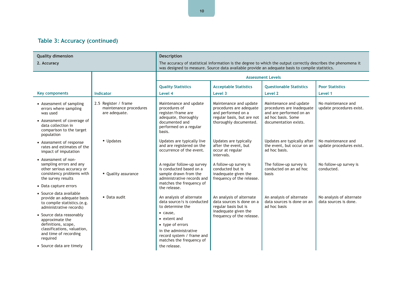# **Table 3: Accuracy (continued)**

| <b>Quality dimension</b>                                                                                                                                           |                                                                 | Description                                                                                                                                                                                                       |                                                                                                                                 |                                                                                                                               |                                                   |
|--------------------------------------------------------------------------------------------------------------------------------------------------------------------|-----------------------------------------------------------------|-------------------------------------------------------------------------------------------------------------------------------------------------------------------------------------------------------------------|---------------------------------------------------------------------------------------------------------------------------------|-------------------------------------------------------------------------------------------------------------------------------|---------------------------------------------------|
| 2. Accuracy                                                                                                                                                        |                                                                 | The accuracy of statistical information is the degree to which the output correctly describes the phenomena it<br>was designed to measure. Source data available provide an adequate basis to compile statistics. |                                                                                                                                 |                                                                                                                               |                                                   |
|                                                                                                                                                                    |                                                                 |                                                                                                                                                                                                                   |                                                                                                                                 | <b>Assessment Levels</b>                                                                                                      |                                                   |
|                                                                                                                                                                    |                                                                 | <b>Quality Statistics</b>                                                                                                                                                                                         | <b>Acceptable Statistics</b>                                                                                                    | <b>Questionable Statistics</b>                                                                                                | <b>Poor Statistics</b>                            |
| <b>Key components</b>                                                                                                                                              | <b>Indicator</b>                                                | Level 4                                                                                                                                                                                                           | Level 3                                                                                                                         | Level 2                                                                                                                       | Level 1                                           |
| • Assessment of sampling<br>errors where sampling<br>was used<br>• Assessment of coverage of<br>data collection in<br>comparison to the target<br>population       | 2.5 Register / frame<br>maintenance procedures<br>are adequate. | Maintenance and update<br>procedures of<br>register/frame are<br>adequate, thoroughly<br>documented and<br>performed on a regular<br>basis.                                                                       | Maintenance and update<br>procedures are adequate<br>and performed on a<br>regular basis, but are not<br>thoroughly documented. | Maintenance and update<br>procedures are inadequate<br>and are performed on an<br>ad hoc basis. Some<br>documentation exists. | No maintenance and<br>update procedures exist.    |
| • Assessment of response<br>rates and estimates of the<br>impact of imputation                                                                                     | • Updates                                                       | Updates are typically live<br>and are registered on the<br>occurrence of the event.                                                                                                                               | Updates are typically<br>after the event, but<br>occur at regular<br>intervals.                                                 | Updates are typically after<br>the event, but occur on an<br>ad hoc basis.                                                    | No maintenance and<br>update procedures exist.    |
| • Assessment of non-<br>sampling errors and any<br>other serious accuracy or<br>consistency problems with<br>the survey results<br>• Data capture errors           | • Quality assurance                                             | A regular follow-up survey<br>is conducted based on a<br>sample drawn from the<br>administrative records and<br>matches the frequency of                                                                          | A follow-up survey is<br>conducted but is<br>inadequate given the<br>frequency of the release.                                  | The follow-up survey is<br>conducted on an ad hoc<br>basis                                                                    | No follow-up survey is<br>conducted.              |
| • Source data available<br>provide an adequate basis<br>to compile statistics. (e.g.<br>administrative records)                                                    | • Data audit                                                    | the release.<br>An analysis of alternate<br>data source/s is conducted<br>to determine the                                                                                                                        | An analysis of alternate<br>data sources is done on a<br>regular basis but is                                                   | An analysis of alternate<br>data sources is done on an<br>ad hoc basis                                                        | No analysis of alternate<br>data sources is done. |
| • Source data reasonably<br>approximate the<br>definitions, scope,<br>classifications, valuation,<br>and time of recording<br>required<br>• Source data are timely |                                                                 | • cause,<br>$\bullet$ extent and<br>• type of errors<br>in the administrative<br>record system / frame and<br>matches the frequency of<br>the release.                                                            | inadequate given the<br>frequency of the release.                                                                               |                                                                                                                               |                                                   |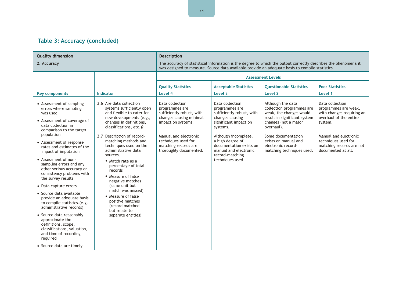# **Table 3: Accuracy (concluded)**

| <b>Quality dimension</b>                                                                                                                                                                                                                                                                                                                                                                                                                                                                                                                                                                                                                                               |                                                                                                                                                                                                                                                                                                                                                                                                                                                                                                                                   | <b>Description</b>                                                                                                                                                                                                |                                                                                                                                                                                                                                                               |                                                                                                                                                                                                                                                  |                                                                                                                                                                                                             |
|------------------------------------------------------------------------------------------------------------------------------------------------------------------------------------------------------------------------------------------------------------------------------------------------------------------------------------------------------------------------------------------------------------------------------------------------------------------------------------------------------------------------------------------------------------------------------------------------------------------------------------------------------------------------|-----------------------------------------------------------------------------------------------------------------------------------------------------------------------------------------------------------------------------------------------------------------------------------------------------------------------------------------------------------------------------------------------------------------------------------------------------------------------------------------------------------------------------------|-------------------------------------------------------------------------------------------------------------------------------------------------------------------------------------------------------------------|---------------------------------------------------------------------------------------------------------------------------------------------------------------------------------------------------------------------------------------------------------------|--------------------------------------------------------------------------------------------------------------------------------------------------------------------------------------------------------------------------------------------------|-------------------------------------------------------------------------------------------------------------------------------------------------------------------------------------------------------------|
| 2. Accuracy                                                                                                                                                                                                                                                                                                                                                                                                                                                                                                                                                                                                                                                            |                                                                                                                                                                                                                                                                                                                                                                                                                                                                                                                                   | The accuracy of statistical information is the degree to which the output correctly describes the phenomena it<br>was designed to measure. Source data available provide an adequate basis to compile statistics. |                                                                                                                                                                                                                                                               |                                                                                                                                                                                                                                                  |                                                                                                                                                                                                             |
|                                                                                                                                                                                                                                                                                                                                                                                                                                                                                                                                                                                                                                                                        |                                                                                                                                                                                                                                                                                                                                                                                                                                                                                                                                   |                                                                                                                                                                                                                   |                                                                                                                                                                                                                                                               | <b>Assessment Levels</b>                                                                                                                                                                                                                         |                                                                                                                                                                                                             |
| <b>Key components</b>                                                                                                                                                                                                                                                                                                                                                                                                                                                                                                                                                                                                                                                  | <b>Indicator</b>                                                                                                                                                                                                                                                                                                                                                                                                                                                                                                                  | <b>Quality Statistics</b><br>Level 4                                                                                                                                                                              | <b>Acceptable Statistics</b><br>Level 3                                                                                                                                                                                                                       | <b>Questionable Statistics</b><br>Level 2                                                                                                                                                                                                        | <b>Poor Statistics</b><br>Level 1                                                                                                                                                                           |
| • Assessment of sampling<br>errors where sampling<br>was used<br>• Assessment of coverage of<br>data collection in<br>comparison to the target<br>population<br>• Assessment of response<br>rates and estimates of the<br>impact of imputation<br>• Assessment of non-<br>sampling errors and any<br>other serious accuracy or<br>consistency problems with<br>the survey results<br>• Data capture errors<br>• Source data available<br>provide an adequate basis<br>to compile statistics.(e.g.<br>administrative records)<br>• Source data reasonably<br>approximate the<br>definitions, scope,<br>classifications, valuation,<br>and time of recording<br>required | 2.6 Are data collection<br>systems sufficiently open<br>and flexible to cater for<br>new developments (e.g.,<br>changes in definitions,<br>classifications, etc.)?<br>2.7 Description of record-<br>matching methods and<br>techniques used on the<br>administrative data<br>sources.<br>• Match rate as a<br>percentage of total<br>records<br>• Measure of false<br>negative matches<br>(same unit but<br>match was missed)<br>• Measure of false<br>positive matches<br>(record matched<br>but relate to<br>separate entities) | Data collection<br>programmes are<br>sufficiently robust, with<br>changes causing minimal<br>impact on systems.<br>Manual and electronic<br>techniques used for<br>matching records are<br>thoroughly documented. | Data collection<br>programmes are<br>sufficiently robust, with<br>changes causing<br>significant impact on<br>systems.<br>Although incomplete,<br>a high degree of<br>documentation exists on<br>manual and electronic<br>record-matching<br>techniques used. | Although the data<br>collection programmes are<br>weak, the changes would<br>result in significant system<br>changes (not a major<br>overhaul).<br>Some documentation<br>exists on manual and<br>electronic record-<br>matching techniques used. | Data collection<br>programmes are weak,<br>with changes requiring an<br>overhaul of the entire<br>system.<br>Manual and electronic<br>techniques used for<br>matching records are not<br>documented at all. |
| • Source data are timely                                                                                                                                                                                                                                                                                                                                                                                                                                                                                                                                                                                                                                               |                                                                                                                                                                                                                                                                                                                                                                                                                                                                                                                                   |                                                                                                                                                                                                                   |                                                                                                                                                                                                                                                               |                                                                                                                                                                                                                                                  |                                                                                                                                                                                                             |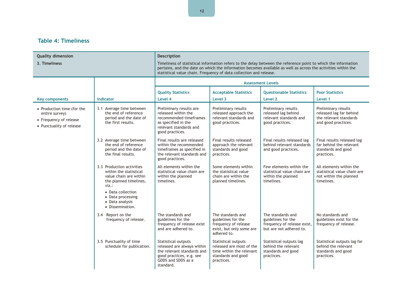## **Table 4: Timeliness**

| <b>Quality dimension</b>                                                                           |                                                                                                                                                                                                   | <b>Description</b>                                                                                                                                                                                                                                                                                    |                                                                                                                        |                                                                                                   |                                                                                                 |  |
|----------------------------------------------------------------------------------------------------|---------------------------------------------------------------------------------------------------------------------------------------------------------------------------------------------------|-------------------------------------------------------------------------------------------------------------------------------------------------------------------------------------------------------------------------------------------------------------------------------------------------------|------------------------------------------------------------------------------------------------------------------------|---------------------------------------------------------------------------------------------------|-------------------------------------------------------------------------------------------------|--|
| 3. Timeliness                                                                                      |                                                                                                                                                                                                   | Timeliness of statistical information refers to the delay between the reference point to which the information<br>pertains, and the date on which the information becomes available as well as across the activities within the<br>statistical value chain. Frequency of data collection and release. |                                                                                                                        |                                                                                                   |                                                                                                 |  |
|                                                                                                    |                                                                                                                                                                                                   |                                                                                                                                                                                                                                                                                                       |                                                                                                                        | <b>Assessment Levels</b>                                                                          |                                                                                                 |  |
| <b>Key components</b>                                                                              | <b>Indicator</b>                                                                                                                                                                                  | <b>Quality Statistics</b><br>Level 4                                                                                                                                                                                                                                                                  | <b>Acceptable Statistics</b><br>Level 3                                                                                | <b>Ouestionable Statistics</b><br>Level 2                                                         | <b>Poor Statistics</b><br>Level 1                                                               |  |
| • Production time (for the<br>entire survey)<br>• Frequency of release<br>• Punctuality of release | 3.1 Average time between<br>the end of reference<br>period and the date of<br>the first results.                                                                                                  | Preliminary results are<br>released within the<br>recommended timeframes<br>as specified in the<br>relevant standards and<br>good practices.                                                                                                                                                          | Preliminary results<br>released approach the<br>relevant standards and<br>good practices.                              | Preliminary results<br>released lag behind<br>relevant standards and<br>good practices.           | Preliminary results<br>released lag far behind<br>the relevant standards<br>and good practices. |  |
|                                                                                                    | 3.2 Average time between<br>the end of reference<br>period and the date of<br>the final results.                                                                                                  | Final results are released<br>within the recommended<br>timeframes as specified in<br>the relevant standards and<br>good practices.                                                                                                                                                                   | Final results released<br>approach the relevant<br>standards and good<br>practices.                                    | Final results released lag<br>behind relevant standards<br>and good practices.                    | Final results released lag<br>far behind the relevant<br>standards and good<br>practices.       |  |
|                                                                                                    | 3.3 Production activities<br>within the statistical<br>value chain are within<br>the planned timelines,<br>viz.:<br>• Data collection<br>• Data processing<br>• Data analysis<br>• Dissemination. | All elements within the<br>statistical value chain are<br>within the planned<br>timelines.                                                                                                                                                                                                            | Some elements within<br>the statistical value<br>chain are within the<br>planned timelines.                            | Few elements within the<br>statistical value chain are<br>within the planned<br>timelines.        | All elements within the<br>statistical value chain are<br>not within the planned<br>timelines.  |  |
|                                                                                                    | 3.4 Report on the<br>frequency of release.                                                                                                                                                        | The standards and<br>guidelines for the<br>frequency of release exist<br>and are adhered to.                                                                                                                                                                                                          | The standards and<br>guidelines for the<br>frequency of release<br>exist, but only some are<br>adhered to.             | The standards and<br>guidelines for the<br>frequency of release exist,<br>but are not adhered to. | No standards and<br>guidelines exist for the<br>frequency of release.                           |  |
|                                                                                                    | 3.5 Punctuality of time<br>schedule for publication.                                                                                                                                              | Statistical outputs<br>released are always within<br>the relevant standards and<br>good practices, e.g. see<br>GDDS and SDDS as a<br>standard.                                                                                                                                                        | <b>Statistical outputs</b><br>released are most of the<br>time within the relevant<br>standards and good<br>practices. | Statistical outputs lag<br>behind the relevant<br>standards and good<br>practices.                | Statistical outputs lag far<br>behind the relevant<br>standards and good<br>practices.          |  |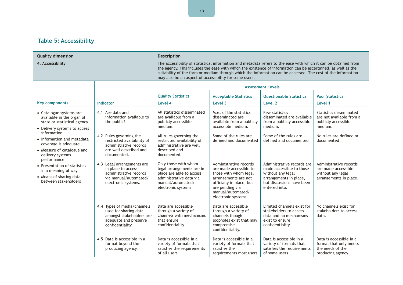# **Table 5: Accessibility**

| <b>Quality dimension</b>                                                                                                                                                                                                                                       |                                                                                                                               | <b>Description</b>                                                                                                                                                                                                                                                                                                                                                                                         |                                                                                                                                                                                              |                                                                                                                                                     |                                                                                              |
|----------------------------------------------------------------------------------------------------------------------------------------------------------------------------------------------------------------------------------------------------------------|-------------------------------------------------------------------------------------------------------------------------------|------------------------------------------------------------------------------------------------------------------------------------------------------------------------------------------------------------------------------------------------------------------------------------------------------------------------------------------------------------------------------------------------------------|----------------------------------------------------------------------------------------------------------------------------------------------------------------------------------------------|-----------------------------------------------------------------------------------------------------------------------------------------------------|----------------------------------------------------------------------------------------------|
| 4. Accessibility                                                                                                                                                                                                                                               |                                                                                                                               | The accessibility of statistical information and metadata refers to the ease with which it can be obtained from<br>the agency. This includes the ease with which the existence of information can be ascertained, as well as the<br>suitability of the form or medium through which the information can be accessed. The cost of the information<br>may also be an aspect of accessibility for some users. |                                                                                                                                                                                              |                                                                                                                                                     |                                                                                              |
|                                                                                                                                                                                                                                                                |                                                                                                                               |                                                                                                                                                                                                                                                                                                                                                                                                            |                                                                                                                                                                                              | <b>Assessment Levels</b>                                                                                                                            |                                                                                              |
|                                                                                                                                                                                                                                                                |                                                                                                                               | <b>Quality Statistics</b>                                                                                                                                                                                                                                                                                                                                                                                  | <b>Acceptable Statistics</b>                                                                                                                                                                 | <b>Questionable Statistics</b>                                                                                                                      | <b>Poor Statistics</b>                                                                       |
| <b>Key components</b>                                                                                                                                                                                                                                          | Indicator                                                                                                                     | Level 4                                                                                                                                                                                                                                                                                                                                                                                                    | Level 3                                                                                                                                                                                      | Level 2                                                                                                                                             | Level 1                                                                                      |
| • Catalogue systems are<br>available in the organ of<br>state or statistical agency<br>• Delivery systems to access                                                                                                                                            | 4.1 Are data and<br>information available to<br>the public?                                                                   | All statistics disseminated<br>are available from a<br>publicly accessible<br>medium.                                                                                                                                                                                                                                                                                                                      | Most of the statistics<br>disseminated are<br>available from a publicly<br>accessible medium.                                                                                                | Few statistics<br>disseminated are available<br>from a publicly accessible<br>medium.                                                               | Statistics disseminated<br>are not available from a<br>publicly accessible<br>medium.        |
| information<br>4.2 Rules governing the<br>• Information and metadata<br>restricted availability of<br>coverage is adequate<br>administrative records<br>are well described and<br>• Measure of catalogue and<br>documented.<br>delivery systems<br>performance | All rules governing the<br>restricted availability of<br>administrative are well<br>described and<br>documented.              | Some of the rules are<br>defined and documented                                                                                                                                                                                                                                                                                                                                                            | Some of the rules are<br>defined and documented                                                                                                                                              | No rules are defined or<br>documented                                                                                                               |                                                                                              |
| • Presentation of statistics<br>in a meaningful way<br>• Means of sharing data<br>between stakeholders                                                                                                                                                         | 4.3 Legal arrangements are<br>in place to access<br>administrative records<br>via manual/automated/<br>electronic systems.    | Only those with whom<br>legal arrangements are in<br>place are able to access<br>administrative data via<br>manual/automated/<br>electronic systems                                                                                                                                                                                                                                                        | Administrative records<br>are made accessible to<br>those with whom legal<br>arrangements are not<br>officially in place, but<br>are pending via<br>manual/automated/<br>electronic systems. | Administrative records are<br>made accessible to those<br>without any legal<br>arrangements in place,<br>but discussions have been<br>entered into. | Administrative records<br>are made accessible<br>without any legal<br>arrangements in place. |
|                                                                                                                                                                                                                                                                | 4.4 Types of media/channels<br>used for sharing data<br>amongst stakeholders are<br>adequate and preserve<br>confidentiality. | Data are accessible<br>through a variety of<br>channels with mechanisms<br>that ensure<br>confidentiality.                                                                                                                                                                                                                                                                                                 | Data are accessible<br>through a variety of<br>channels though<br>loopholes exist that may<br>compromise<br>confidentiality.                                                                 | Limited channels exist for<br>stakeholders to access<br>data and no mechanisms<br>exist to ensure<br>confidentiality.                               | No channels exist for<br>stakeholders to access<br>data.                                     |
|                                                                                                                                                                                                                                                                | 4.5 Data is accessible in a<br>format beyond the<br>producing agency.                                                         | Data is accessible in a<br>variety of formats that<br>satisfies the requirements<br>of all users.                                                                                                                                                                                                                                                                                                          | Data is accessible in a<br>variety of formats that<br>satisfies the<br>requirements most users.                                                                                              | Data is accessible in a<br>variety of formats that<br>satisfies the requirements<br>of some users.                                                  | Data is accessible in a<br>format that only meets<br>the needs of the<br>producing agency.   |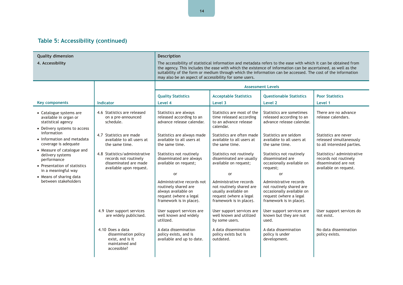# **Table 5: Accessibility (continued)**

| <b>Quality dimension</b>                                                                                                                                                                                                                                                                                                                               |                                                                                                                                                                                                                                                                                                                                                                                                                | Description                                                                                                                                                                                                                                                                                                                                                                                                                                                                                                                          |                                                                                                                                                                                                                                                                                                                                                                                                                                                                                                                                          |                                                                                                                                                                                                                                                                                                                                                                                                                                                                                                                             |                                                                                                                                                                                                                                                                                                                         |  |
|--------------------------------------------------------------------------------------------------------------------------------------------------------------------------------------------------------------------------------------------------------------------------------------------------------------------------------------------------------|----------------------------------------------------------------------------------------------------------------------------------------------------------------------------------------------------------------------------------------------------------------------------------------------------------------------------------------------------------------------------------------------------------------|--------------------------------------------------------------------------------------------------------------------------------------------------------------------------------------------------------------------------------------------------------------------------------------------------------------------------------------------------------------------------------------------------------------------------------------------------------------------------------------------------------------------------------------|------------------------------------------------------------------------------------------------------------------------------------------------------------------------------------------------------------------------------------------------------------------------------------------------------------------------------------------------------------------------------------------------------------------------------------------------------------------------------------------------------------------------------------------|-----------------------------------------------------------------------------------------------------------------------------------------------------------------------------------------------------------------------------------------------------------------------------------------------------------------------------------------------------------------------------------------------------------------------------------------------------------------------------------------------------------------------------|-------------------------------------------------------------------------------------------------------------------------------------------------------------------------------------------------------------------------------------------------------------------------------------------------------------------------|--|
| 4. Accessibility                                                                                                                                                                                                                                                                                                                                       |                                                                                                                                                                                                                                                                                                                                                                                                                |                                                                                                                                                                                                                                                                                                                                                                                                                                                                                                                                      | The accessibility of statistical information and metadata refers to the ease with which it can be obtained from<br>the agency. This includes the ease with which the existence of information can be ascertained, as well as the<br>suitability of the form or medium through which the information can be accessed. The cost of the information<br>may also be an aspect of accessibility for some users.                                                                                                                               |                                                                                                                                                                                                                                                                                                                                                                                                                                                                                                                             |                                                                                                                                                                                                                                                                                                                         |  |
|                                                                                                                                                                                                                                                                                                                                                        |                                                                                                                                                                                                                                                                                                                                                                                                                |                                                                                                                                                                                                                                                                                                                                                                                                                                                                                                                                      |                                                                                                                                                                                                                                                                                                                                                                                                                                                                                                                                          | <b>Assessment Levels</b>                                                                                                                                                                                                                                                                                                                                                                                                                                                                                                    |                                                                                                                                                                                                                                                                                                                         |  |
| <b>Key components</b>                                                                                                                                                                                                                                                                                                                                  | <b>Indicator</b>                                                                                                                                                                                                                                                                                                                                                                                               | <b>Quality Statistics</b><br>Level 4                                                                                                                                                                                                                                                                                                                                                                                                                                                                                                 | <b>Acceptable Statistics</b><br>Level 3                                                                                                                                                                                                                                                                                                                                                                                                                                                                                                  | <b>Ouestionable Statistics</b><br>Level 2                                                                                                                                                                                                                                                                                                                                                                                                                                                                                   | <b>Poor Statistics</b><br>Level 1                                                                                                                                                                                                                                                                                       |  |
| • Catalogue systems are<br>available in organ or<br>statistical agency<br>• Delivery systems to access<br>information<br>• Information and metadata<br>coverage is adequate<br>• Measure of catalogue and<br>delivery systems<br>performance<br>• Presentation of statistics<br>in a meaningful way<br>• Means of sharing data<br>between stakeholders | 4.6 Statistics are released<br>on a pre-announced<br>schedule.<br>4.7 Statistics are made<br>available to all users at<br>the same time.<br>4.8 Statistics/administrative<br>records not routinely<br>disseminated are made<br>available upon request.<br>4.9 User support services<br>are widely publicised.<br>4.10 Does a data<br>dissemination policy<br>exist, and is it<br>maintained and<br>accessible? | Statistics are always<br>released according to an<br>advance release calendar.<br>Statistics are always made<br>available to all users at<br>the same time.<br>Statistics not routinely<br>disseminated are always<br>available on request;<br>or<br>Administrative records not<br>routinely shared are<br>always available on<br>request (where a legal<br>framework is in place).<br>User support services are<br>well known and widely<br>utilized.<br>A data dissemination<br>policy exists, and is<br>available and up to date. | Statistics are most of the<br>time released according<br>to an advance release<br>calendar.<br>Statistics are often made<br>available to all users at<br>the same time.<br>Statistics not routinely<br>disseminated are usually<br>available on request;<br>or<br>Administrative records<br>not routinely shared are<br>usually available on<br>request (where a legal<br>framework is in place).<br>User support services are<br>well known and utilized<br>by some users.<br>A data dissemination<br>policy exists but is<br>outdated. | Statistics are sometimes<br>released according to an<br>advance release calendar.<br>Statistics are seldom<br>available to all users at<br>the same time.<br>Statistics not routinely<br>disseminated are<br>occasionally available on<br>request;<br>or<br>Administrative records<br>not routinely shared are<br>occasionally available on<br>request (where a legal<br>framework is in place).<br>User support services are<br>known but they are not<br>used.<br>A data dissemination<br>policy is under<br>development. | There are no advance<br>release calendars.<br>Statistics are never<br>released simultaneously<br>to all interested parties.<br>Statistics/administrative<br>records not routinely<br>disseminated are not<br>available on request.<br>User support services do<br>not exist.<br>No data dissemination<br>policy exists. |  |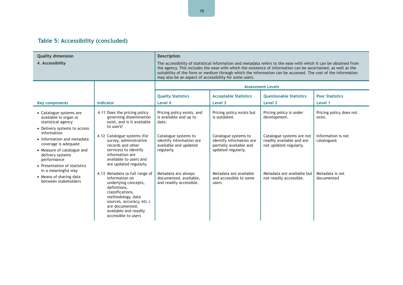# **Table 5: Accessibility (concluded)**

| <b>Quality dimension</b>                                                                                                                                                                                                                     |                                                                                                                                                                                                                                                            | Description                                                                                                                                                                                                                                                                                                                                                                                                |                                                                                                                                                |                                                                                                                             |                                                                        |  |
|----------------------------------------------------------------------------------------------------------------------------------------------------------------------------------------------------------------------------------------------|------------------------------------------------------------------------------------------------------------------------------------------------------------------------------------------------------------------------------------------------------------|------------------------------------------------------------------------------------------------------------------------------------------------------------------------------------------------------------------------------------------------------------------------------------------------------------------------------------------------------------------------------------------------------------|------------------------------------------------------------------------------------------------------------------------------------------------|-----------------------------------------------------------------------------------------------------------------------------|------------------------------------------------------------------------|--|
| 4. Accessibility                                                                                                                                                                                                                             |                                                                                                                                                                                                                                                            | The accessibility of statistical information and metadata refers to the ease with which it can be obtained from<br>the agency. This includes the ease with which the existence of information can be ascertained, as well as the<br>suitability of the form or medium through which the information can be accessed. The cost of the information<br>may also be an aspect of accessibility for some users. |                                                                                                                                                |                                                                                                                             |                                                                        |  |
|                                                                                                                                                                                                                                              |                                                                                                                                                                                                                                                            | <b>Assessment Levels</b>                                                                                                                                                                                                                                                                                                                                                                                   |                                                                                                                                                |                                                                                                                             |                                                                        |  |
| <b>Key components</b>                                                                                                                                                                                                                        | Indicator                                                                                                                                                                                                                                                  | <b>Quality Statistics</b><br>Level 4                                                                                                                                                                                                                                                                                                                                                                       | <b>Acceptable Statistics</b><br>Level 3                                                                                                        | <b>Ouestionable Statistics</b><br>Level 2                                                                                   | <b>Poor Statistics</b><br>Level 1                                      |  |
| • Catalogue systems are<br>available in organ or<br>statistical agency<br>• Delivery systems to access<br>information<br>• Information and metadata<br>coverage is adequate<br>• Measure of catalogue and<br>delivery systems<br>performance | Does the pricing policy<br>4.11<br>governing dissemination<br>exist, and is it available<br>to users?<br>4.12 Catalogue systems (for<br>survey, administrative<br>records and other<br>services) to identify<br>information are<br>available to users and  | Pricing policy exists, and<br>is available and up to<br>date.<br>Catalogue systems to<br>identify information are<br>available and updated<br>regularly.                                                                                                                                                                                                                                                   | Pricing policy exists but<br>is outdated.<br>Catalogue systems to<br>identify information are<br>partially available and<br>updated regularly. | Pricing policy is under<br>development.<br>Catalogue systems are not<br>readily available and are<br>not updated regularly. | Pricing policy does not<br>exist.<br>Information is not<br>catalogued. |  |
| • Presentation of statistics<br>in a meaningful way<br>• Means of sharing data<br>between stakeholders                                                                                                                                       | are updated regularly.<br>4.13 Metadata (a full range of<br>information on<br>underlying concepts,<br>definitions.<br>classifications,<br>methodology, data<br>sources, accuracy, etc.)<br>are documented,<br>available and readily<br>accessible to users | Metadata are always<br>documented, available,<br>and readily accessible.                                                                                                                                                                                                                                                                                                                                   | Metadata are available<br>and accessible to some<br>users                                                                                      | Metadata are available but<br>not readily accessible.                                                                       | Metadata is not<br>documented                                          |  |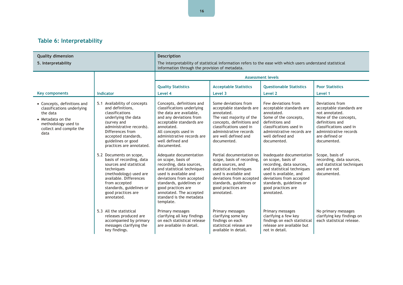# **Table 6: Interpretability**

| <b>Quality dimension</b>                                                                                                                             |                                                                                                                                                                                                                                    | Description                                                                                                                                                                                                                                                                       |                                                                                                                                                                                                                            |                                                                                                                                                                                                                                |                                                                                                                                                                                                 |  |
|------------------------------------------------------------------------------------------------------------------------------------------------------|------------------------------------------------------------------------------------------------------------------------------------------------------------------------------------------------------------------------------------|-----------------------------------------------------------------------------------------------------------------------------------------------------------------------------------------------------------------------------------------------------------------------------------|----------------------------------------------------------------------------------------------------------------------------------------------------------------------------------------------------------------------------|--------------------------------------------------------------------------------------------------------------------------------------------------------------------------------------------------------------------------------|-------------------------------------------------------------------------------------------------------------------------------------------------------------------------------------------------|--|
| 5. Interpretability                                                                                                                                  |                                                                                                                                                                                                                                    | The interpretability of statistical information refers to the ease with which users understand statistical<br>information through the provision of metadata.                                                                                                                      |                                                                                                                                                                                                                            |                                                                                                                                                                                                                                |                                                                                                                                                                                                 |  |
|                                                                                                                                                      |                                                                                                                                                                                                                                    | <b>Assessment levels</b>                                                                                                                                                                                                                                                          |                                                                                                                                                                                                                            |                                                                                                                                                                                                                                |                                                                                                                                                                                                 |  |
|                                                                                                                                                      |                                                                                                                                                                                                                                    | <b>Quality Statistics</b>                                                                                                                                                                                                                                                         | <b>Acceptable Statistics</b>                                                                                                                                                                                               | <b>Ouestionable Statistics</b>                                                                                                                                                                                                 | <b>Poor Statistics</b>                                                                                                                                                                          |  |
| <b>Key components</b>                                                                                                                                | Indicator                                                                                                                                                                                                                          | Level 4                                                                                                                                                                                                                                                                           | Level 3                                                                                                                                                                                                                    | Level 2                                                                                                                                                                                                                        | Level 1                                                                                                                                                                                         |  |
| • Concepts, definitions and<br>classifications underlying<br>the data<br>• Metadata on the<br>methodology used to<br>collect and compile the<br>data | 5.1 Availability of concepts<br>and definitions.<br>classifications<br>underlying the data<br>(survey and<br>administrative records).<br>Differences from<br>accepted standards,<br>guidelines or good<br>practices are annotated. | Concepts, definitions and<br>classifications underlying<br>the data are available,<br>and any deviations from<br>acceptable standards are<br>annotated.<br>All concepts used in<br>administrative records are<br>well defined and<br>documented.                                  | Some deviations from<br>acceptable standards are<br>annotated.<br>The vast majority of the<br>concepts, definitions and<br>classifications used in<br>administrative records<br>are well defined and<br>documented.        | Few deviations from<br>acceptable standards are<br>annotated.<br>Some of the concepts,<br>definitions and<br>classifications used in<br>administrative records are<br>well defined and<br>documented.                          | Deviations from<br>acceptable standards are<br>not annotated.<br>None of the concepts,<br>definitions and<br>classifications used in<br>administrative records<br>are defined or<br>documented. |  |
|                                                                                                                                                      | 5.2 Documents on scope,<br>basis of recording, data<br>sources and statistical<br>techniques<br>(methodology) used are<br>available. Differences<br>from accepted<br>standards, guidelines or<br>good practices are<br>annotated.  | Adequate documentation<br>on scope, basis of<br>recording, data sources,<br>and statistical techniques<br>used is available and<br>deviations from accepted<br>standards, guidelines or<br>good practices are<br>annotated. The accepted<br>standard is the metadata<br>template. | Partial documentation on<br>scope, basis of recording,<br>data sources, and<br>statistical techniques<br>used is available and<br>deviations from accepted<br>standards, guidelines or<br>good practices are<br>annotated. | Inadequate documentation<br>on scope, basis of<br>recording, data sources,<br>and statistical techniques<br>used is available, and<br>deviations from accepted<br>standards, guidelines or<br>good practices are<br>annotated. | Scope, basis of<br>recording, data sources,<br>and statistical techniques<br>used are not<br>documented.                                                                                        |  |
|                                                                                                                                                      | 5.3 All the statistical<br>releases produced are<br>accompanied by primary<br>messages clarifying the<br>key findings.                                                                                                             | Primary messages<br>clarifying all key findings<br>on each statistical release<br>are available in detail.                                                                                                                                                                        | Primary messages<br>clarifying some key<br>findings on each<br>statistical release are<br>available in detail.                                                                                                             | Primary messages<br>clarifying a few key<br>findings on each statistical<br>release are available but<br>not in detail.                                                                                                        | No primary messages<br>clarifying key findings on<br>each statistical release.                                                                                                                  |  |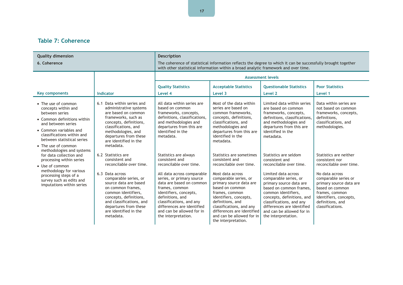## **Table 7: Coherence**

| <b>Quality dimension</b>                                                                                                                                                                                                                                    |                                                                                                                                                                                                                                                                                                       | <b>Description</b>                                                                                                                                                                                                                                                                                                                      |                                                                                                                                                                                                                                                                                                                                                |                                                                                                                                                                                                                                                                                                                                             |                                                                                                                                                                                                                                                 |  |
|-------------------------------------------------------------------------------------------------------------------------------------------------------------------------------------------------------------------------------------------------------------|-------------------------------------------------------------------------------------------------------------------------------------------------------------------------------------------------------------------------------------------------------------------------------------------------------|-----------------------------------------------------------------------------------------------------------------------------------------------------------------------------------------------------------------------------------------------------------------------------------------------------------------------------------------|------------------------------------------------------------------------------------------------------------------------------------------------------------------------------------------------------------------------------------------------------------------------------------------------------------------------------------------------|---------------------------------------------------------------------------------------------------------------------------------------------------------------------------------------------------------------------------------------------------------------------------------------------------------------------------------------------|-------------------------------------------------------------------------------------------------------------------------------------------------------------------------------------------------------------------------------------------------|--|
| 6. Coherence                                                                                                                                                                                                                                                |                                                                                                                                                                                                                                                                                                       | The coherence of statistical information reflects the degree to which it can be successfully brought together<br>with other statistical information within a broad analytic framework and over time.                                                                                                                                    |                                                                                                                                                                                                                                                                                                                                                |                                                                                                                                                                                                                                                                                                                                             |                                                                                                                                                                                                                                                 |  |
|                                                                                                                                                                                                                                                             |                                                                                                                                                                                                                                                                                                       | <b>Assessment levels</b>                                                                                                                                                                                                                                                                                                                |                                                                                                                                                                                                                                                                                                                                                |                                                                                                                                                                                                                                                                                                                                             |                                                                                                                                                                                                                                                 |  |
|                                                                                                                                                                                                                                                             |                                                                                                                                                                                                                                                                                                       | <b>Quality Statistics</b>                                                                                                                                                                                                                                                                                                               | <b>Acceptable Statistics</b>                                                                                                                                                                                                                                                                                                                   | <b>Ouestionable Statistics</b>                                                                                                                                                                                                                                                                                                              | <b>Poor Statistics</b>                                                                                                                                                                                                                          |  |
| <b>Key components</b>                                                                                                                                                                                                                                       | <b>Indicator</b>                                                                                                                                                                                                                                                                                      | Level 4                                                                                                                                                                                                                                                                                                                                 | Level 3                                                                                                                                                                                                                                                                                                                                        | Level 2                                                                                                                                                                                                                                                                                                                                     | Level 1                                                                                                                                                                                                                                         |  |
| • The use of common<br>concepts within and<br>between series<br>• Common definitions within<br>and between series<br>• Common variables and<br>classifications within and<br>between statistical series<br>• The use of common<br>methodologies and systems | 6.1 Data within series and<br>administrative systems<br>are based on common<br>frameworks, such as<br>concepts, definitions,<br>classifications, and<br>methodologies, and<br>departures from these<br>are identified in the<br>metadata.                                                             | All data within series are<br>based on common<br>frameworks, concepts,<br>definitions, classifications,<br>and methodologies and<br>departures from this are<br>identified in the<br>metadata.                                                                                                                                          | Most of the data within<br>series are based on<br>common frameworks,<br>concepts, definitions,<br>classifications, and<br>methodologies and<br>departures from this are<br>identified in the<br>metadata.                                                                                                                                      | Limited data within series<br>are based on common<br>frameworks, concepts,<br>definitions, classifications,<br>and methodologies and<br>departures from this are<br>identified in the<br>metadata.                                                                                                                                          | Data within series are<br>not based on common<br>frameworks, concepts,<br>definitions,<br>classifications, and<br>methodologies.                                                                                                                |  |
| for data collection and<br>processing within series<br>• Use of common<br>methodology for various<br>processing steps of a<br>survey such as edits and<br>imputations within series                                                                         | 6.2 Statistics are<br>consistent and<br>reconcilable over time.<br>6.3 Data across<br>comparable series, or<br>source data are based<br>on common frames.<br>common identifiers,<br>concepts, definitions,<br>and classifications, and<br>departures from these<br>are identified in the<br>metadata. | Statistics are always<br>consistent and<br>reconcilable over time.<br>All data across comparable<br>series, or primary source<br>data are based on common<br>frames, common<br>identifiers, concepts,<br>definitions, and<br>classifications, and any<br>differences are identified<br>and can be allowed for in<br>the interpretation. | Statistics are sometimes<br>consistent and<br>reconcilable over time.<br>Most data across<br>comparable series, or<br>primary source data are<br>based on common<br>frames, common<br>identifiers, concepts,<br>definitions, and<br>classifications, and any<br>differences are identified<br>and can be allowed for in<br>the interpretation. | Statistics are seldom<br>consistent and<br>reconcilable over time.<br>Limited data across<br>comparable series, or<br>primary source data are<br>based on common frames,<br>common identifiers,<br>concepts, definitions, and<br>classifications, and any<br>differences are identified<br>and can be allowed for in<br>the interpretation. | Statistics are neither<br>consistent nor<br>reconcilable over time.<br>No data across<br>comparable series or<br>primary source data are<br>based on common<br>frames, common<br>identifiers, concepts,<br>definitions, and<br>classifications. |  |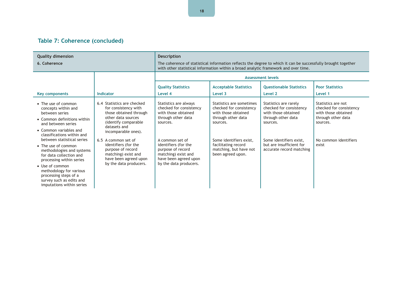# **Table 7: Coherence (concluded)**

| <b>Quality dimension</b><br>6. Coherence                                                                                                                                                                                                                              |                                                                                                                                                                    | <b>Description</b><br>The coherence of statistical information reflects the degree to which it can be successfully brought together<br>with other statistical information within a broad analytic framework and over time. |                                                                                                              |                                                                                                           |                                                                                                        |  |
|-----------------------------------------------------------------------------------------------------------------------------------------------------------------------------------------------------------------------------------------------------------------------|--------------------------------------------------------------------------------------------------------------------------------------------------------------------|----------------------------------------------------------------------------------------------------------------------------------------------------------------------------------------------------------------------------|--------------------------------------------------------------------------------------------------------------|-----------------------------------------------------------------------------------------------------------|--------------------------------------------------------------------------------------------------------|--|
|                                                                                                                                                                                                                                                                       |                                                                                                                                                                    | <b>Assessment levels</b>                                                                                                                                                                                                   |                                                                                                              |                                                                                                           |                                                                                                        |  |
| <b>Key components</b>                                                                                                                                                                                                                                                 | <b>Indicator</b>                                                                                                                                                   | <b>Quality Statistics</b><br>Level 4                                                                                                                                                                                       | <b>Acceptable Statistics</b><br>Level 3                                                                      | <b>Questionable Statistics</b><br>Level 2                                                                 | <b>Poor Statistics</b><br>Level 1                                                                      |  |
| • The use of common<br>concepts within and<br>between series<br>• Common definitions within<br>and between series<br>• Common variables and<br>classifications within and                                                                                             | 6.4 Statistics are checked<br>for consistency with<br>those obtained through<br>other data sources<br>(identify comparable)<br>datasets and<br>incomparable ones). | Statistics are always<br>checked for consistency<br>with those obtained<br>through other data<br>sources.                                                                                                                  | Statistics are sometimes<br>checked for consistency<br>with those obtained<br>through other data<br>sources. | Statistics are rarely<br>checked for consistency<br>with those obtained<br>through other data<br>sources. | Statistics are not<br>checked for consistency<br>with those obtained<br>through other data<br>sources. |  |
| between statistical series<br>• The use of common<br>methodologies and systems<br>for data collection and<br>processing within series<br>• Use of common<br>methodology for various<br>processing steps of a<br>survey such as edits and<br>imputations within series | 6.5 A common set of<br>identifiers (for the<br>purpose of record<br>matching) exist and<br>have been agreed upon<br>by the data producers.                         | A common set of<br>identifiers (for the<br>purpose of record<br>matching) exist and<br>have been agreed upon<br>by the data producers.                                                                                     | Some identifiers exist,<br>facilitating record<br>matching, but have not<br>been agreed upon.                | Some identifiers exist,<br>but are insufficient for<br>accurate record matching                           | No common identifiers<br>exist                                                                         |  |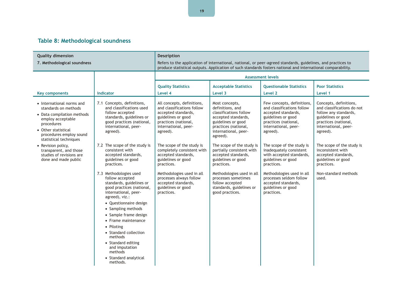# **Table 8: Methodological soundness**

| <b>Quality dimension</b><br>7. Methodological soundness                                                                                                                                                                                                                                            |                                                                                                                                                                                                                                                                                                                                                                                                                                                                                                                                                                                                                                                                                 | Description                                                                                                                                                                                                                                                                                                                                                                                                |                                                                                                                                                                                                                                                                                                                                                                                                                  |                                                                                                                                                                                                                                                                                                                                                                                                              |                                                                                                                                                                                                                                                                                                               |  |
|----------------------------------------------------------------------------------------------------------------------------------------------------------------------------------------------------------------------------------------------------------------------------------------------------|---------------------------------------------------------------------------------------------------------------------------------------------------------------------------------------------------------------------------------------------------------------------------------------------------------------------------------------------------------------------------------------------------------------------------------------------------------------------------------------------------------------------------------------------------------------------------------------------------------------------------------------------------------------------------------|------------------------------------------------------------------------------------------------------------------------------------------------------------------------------------------------------------------------------------------------------------------------------------------------------------------------------------------------------------------------------------------------------------|------------------------------------------------------------------------------------------------------------------------------------------------------------------------------------------------------------------------------------------------------------------------------------------------------------------------------------------------------------------------------------------------------------------|--------------------------------------------------------------------------------------------------------------------------------------------------------------------------------------------------------------------------------------------------------------------------------------------------------------------------------------------------------------------------------------------------------------|---------------------------------------------------------------------------------------------------------------------------------------------------------------------------------------------------------------------------------------------------------------------------------------------------------------|--|
|                                                                                                                                                                                                                                                                                                    |                                                                                                                                                                                                                                                                                                                                                                                                                                                                                                                                                                                                                                                                                 | Refers to the application of international, national, or peer-agreed standards, guidelines, and practices to<br>produce statistical outputs. Application of such standards fosters national and international comparability.                                                                                                                                                                               |                                                                                                                                                                                                                                                                                                                                                                                                                  |                                                                                                                                                                                                                                                                                                                                                                                                              |                                                                                                                                                                                                                                                                                                               |  |
|                                                                                                                                                                                                                                                                                                    |                                                                                                                                                                                                                                                                                                                                                                                                                                                                                                                                                                                                                                                                                 | <b>Assessment levels</b>                                                                                                                                                                                                                                                                                                                                                                                   |                                                                                                                                                                                                                                                                                                                                                                                                                  |                                                                                                                                                                                                                                                                                                                                                                                                              |                                                                                                                                                                                                                                                                                                               |  |
| <b>Key components</b>                                                                                                                                                                                                                                                                              | Indicator                                                                                                                                                                                                                                                                                                                                                                                                                                                                                                                                                                                                                                                                       | <b>Quality Statistics</b><br>Level 4                                                                                                                                                                                                                                                                                                                                                                       | <b>Acceptable Statistics</b><br>Level 3                                                                                                                                                                                                                                                                                                                                                                          | <b>Questionable Statistics</b><br>Level 2                                                                                                                                                                                                                                                                                                                                                                    | <b>Poor Statistics</b><br>Level 1                                                                                                                                                                                                                                                                             |  |
| • International norms and<br>standards on methods<br>• Data compilation methods<br>employ acceptable<br>procedures<br>• Other statistical<br>procedures employ sound<br>statistical techniques<br>• Revision policy,<br>transparent, and those<br>studies of revisions are<br>done and made public | 7.1 Concepts, definitions,<br>and classifications used<br>follow accepted<br>standards, guidelines or<br>good practices (national,<br>international, peer-<br>agreed).<br>7.2 The scope of the study is<br>consistent with<br>accepted standards,<br>guidelines or good<br>practices.<br>7.3 Methodologies used<br>follow accepted<br>standards, guidelines or<br>good practices (national,<br>international, peer-<br>agreed), viz.:<br>• Questionnaire design<br>• Sampling methods<br>• Sample frame design<br>• Frame maintenance<br>• Piloting<br>• Standard collection<br>methods<br>• Standard editing<br>and imputation<br>methods<br>• Standard analytical<br>methods. | All concepts, definitions,<br>and classifications follow<br>accepted standards,<br>guidelines or good<br>practices (national,<br>international, peer-<br>agreed).<br>The scope of the study is<br>completely consistent with<br>accepted standards,<br>guidelines or good<br>practices.<br>Methodologies used in all<br>processes always follow<br>accepted standards,<br>guidelines or good<br>practices. | Most concepts,<br>definitions, and<br>classifications follow<br>accepted standards,<br>guidelines or good<br>practices (national,<br>international, peer-<br>agreed).<br>The scope of the study is<br>partially consistent with<br>accepted standards,<br>guidelines or good<br>practices.<br>Methodologies used in all<br>processes sometimes<br>follow accepted<br>standards, guidelines or<br>good practices. | Few concepts, definitions,<br>and classifications follow<br>accepted standards,<br>guidelines or good<br>practices (national,<br>international, peer-<br>agreed).<br>The scope of the study is<br>inadequately consistent<br>with accepted standards,<br>guidelines or good<br>practices.<br>Methodologies used in all<br>processes seldom follow<br>accepted standards,<br>guidelines or good<br>practices. | Concepts, definitions,<br>and classifications do not<br>follow any standards,<br>guidelines or good<br>practices (national,<br>international, peer-<br>agreed).<br>The scope of the study is<br>inconsistent with<br>accepted standards,<br>guidelines or good<br>practices.<br>Non-standard methods<br>used. |  |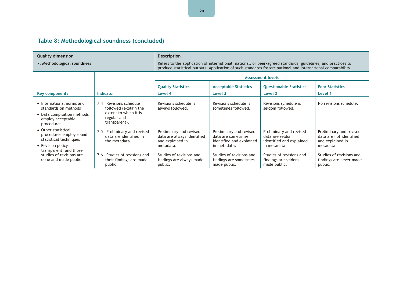# **Table 8: Methodological soundness (concluded)**

| <b>Quality dimension</b>                                                                                           |                                                                                                             | <b>Description</b>                                                                                                                                                                                                           |                                                                                           |                                                                                        |                                                                                     |
|--------------------------------------------------------------------------------------------------------------------|-------------------------------------------------------------------------------------------------------------|------------------------------------------------------------------------------------------------------------------------------------------------------------------------------------------------------------------------------|-------------------------------------------------------------------------------------------|----------------------------------------------------------------------------------------|-------------------------------------------------------------------------------------|
| 7. Methodological soundness                                                                                        |                                                                                                             | Refers to the application of international, national, or peer-agreed standards, guidelines, and practices to<br>produce statistical outputs. Application of such standards fosters national and international comparability. |                                                                                           |                                                                                        |                                                                                     |
|                                                                                                                    |                                                                                                             | <b>Assessment levels</b>                                                                                                                                                                                                     |                                                                                           |                                                                                        |                                                                                     |
|                                                                                                                    |                                                                                                             | <b>Quality Statistics</b>                                                                                                                                                                                                    | <b>Acceptable Statistics</b>                                                              | <b>Questionable Statistics</b>                                                         | <b>Poor Statistics</b>                                                              |
| <b>Key components</b>                                                                                              | <b>Indicator</b>                                                                                            | Level 4                                                                                                                                                                                                                      | Level 3                                                                                   | Level 2                                                                                | Level 1                                                                             |
| • International norms and<br>standards on methods<br>• Data compilation methods<br>employ acceptable<br>procedures | Revisions schedule<br>7.4<br>followed (explain the<br>extent to which it is<br>regular and<br>transparent). | Revisions schedule is<br>always followed.                                                                                                                                                                                    | Revisions schedule is<br>sometimes followed.                                              | Revisions schedule is<br>seldom followed.                                              | No revisions schedule.                                                              |
| • Other statistical<br>procedures employ sound<br>statistical techniques<br>• Revision policy,                     | Preliminary and revised<br>7.5<br>data are identified in<br>the metadata.                                   | Preliminary and revised<br>data are always identified<br>and explained in<br>metadata.                                                                                                                                       | Preliminary and revised<br>data are sometimes<br>identified and explained<br>in metadata. | Preliminary and revised<br>data are seldom<br>identified and explained<br>in metadata. | Preliminary and revised<br>data are not identified<br>and explained in<br>metadata. |
| transparent, and those<br>studies of revisions are<br>done and made public                                         | Studies of revisions and<br>7.6<br>their findings are made<br>public.                                       | Studies of revisions and<br>findings are always made<br>public.                                                                                                                                                              | Studies of revisions and<br>findings are sometimes<br>made public.                        | Studies of revisions and<br>findings are seldom<br>made public.                        | Studies of revisions and<br>findings are never made<br>public.                      |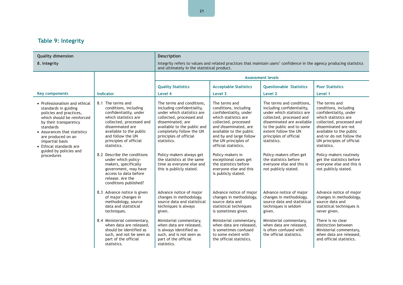**Table 9: Integrity**

| <b>Quality dimension</b>                                                                                                                                                                                                                                                                         |                                                                                                                                                                                                                                                                                                                                                                                                                   | <b>Description</b>                                                                                                                                                                                                                                                                                                                                            |                                                                                                                                                                                                                                                                                                                                                                        |                                                                                                                                                                                                                                                                                                                                                        |                                                                                                                                                                                                                                                                                                                                                              |  |
|--------------------------------------------------------------------------------------------------------------------------------------------------------------------------------------------------------------------------------------------------------------------------------------------------|-------------------------------------------------------------------------------------------------------------------------------------------------------------------------------------------------------------------------------------------------------------------------------------------------------------------------------------------------------------------------------------------------------------------|---------------------------------------------------------------------------------------------------------------------------------------------------------------------------------------------------------------------------------------------------------------------------------------------------------------------------------------------------------------|------------------------------------------------------------------------------------------------------------------------------------------------------------------------------------------------------------------------------------------------------------------------------------------------------------------------------------------------------------------------|--------------------------------------------------------------------------------------------------------------------------------------------------------------------------------------------------------------------------------------------------------------------------------------------------------------------------------------------------------|--------------------------------------------------------------------------------------------------------------------------------------------------------------------------------------------------------------------------------------------------------------------------------------------------------------------------------------------------------------|--|
| 8. Integrity                                                                                                                                                                                                                                                                                     |                                                                                                                                                                                                                                                                                                                                                                                                                   | Integrity refers to values and related practices that maintain users' confidence in the agency producing statistics<br>and ultimately in the statistical product.                                                                                                                                                                                             |                                                                                                                                                                                                                                                                                                                                                                        |                                                                                                                                                                                                                                                                                                                                                        |                                                                                                                                                                                                                                                                                                                                                              |  |
|                                                                                                                                                                                                                                                                                                  |                                                                                                                                                                                                                                                                                                                                                                                                                   | <b>Assessment levels</b>                                                                                                                                                                                                                                                                                                                                      |                                                                                                                                                                                                                                                                                                                                                                        |                                                                                                                                                                                                                                                                                                                                                        |                                                                                                                                                                                                                                                                                                                                                              |  |
| <b>Key components</b>                                                                                                                                                                                                                                                                            | <b>Indicator</b>                                                                                                                                                                                                                                                                                                                                                                                                  | <b>Quality Statistics</b><br>Level 4                                                                                                                                                                                                                                                                                                                          | <b>Acceptable Statistics</b><br>Level 3                                                                                                                                                                                                                                                                                                                                | <b>Ouestionable Statistics</b><br>Level 2                                                                                                                                                                                                                                                                                                              | <b>Poor Statistics</b><br>Level 1                                                                                                                                                                                                                                                                                                                            |  |
| • Professionalism and ethical<br>standards in guiding<br>policies and practices,<br>which should be reinforced<br>by their transparency<br>standards<br>• Assurances that statistics<br>are produced on an<br>impartial basis<br>• Ethical standards are<br>guided by policies and<br>procedures | 8.1 The terms and<br>conditions, including<br>confidentiality, under<br>which statistics are<br>collected, processed and<br>disseminated are<br>available to the public<br>and follow the UN<br>principles of official<br>statistics.<br>8.2 Describe the conditions<br>under which policy-<br>makers, specifically<br>government, may have<br>access to data before<br>release. Are the<br>conditions published? | The terms and conditions,<br>including confidentiality,<br>under which statistics are<br>collected, processed and<br>disseminated, are<br>available to the public and<br>completely follow the UN<br>principles of official<br>statistics.<br>Policy-makers always get<br>the statistics at the same<br>time as everyone else and<br>this is publicly stated. | The terms and<br>conditions, including<br>confidentiality, under<br>which statistics are<br>collected, processed<br>and disseminated, are<br>available to the public<br>and by and large follow<br>the UN principles of<br>official statistics.<br>Policy-makers in<br>exceptional cases get<br>the statistics before<br>everyone else and this<br>is publicly stated. | The terms and conditions,<br>including confidentiality,<br>under which statistics are<br>collected, processed and<br>disseminated are available<br>to the public and to some<br>extent follow the UN<br>principles of official<br>statistics.<br>Policy-makers often get<br>the statistics before<br>everyone else and this is<br>not publicly stated. | The terms and<br>conditions, including<br>confidentiality, under<br>which statistics are<br>collected, processed and<br>disseminated are not<br>available to the public<br>and/or do not follow the<br>UN principles of official<br>statistics.<br>Policy-makers routinely<br>get the statistics before<br>everyone else and this is<br>not publicly stated. |  |
|                                                                                                                                                                                                                                                                                                  | 8.3 Advance notice is given<br>of major changes in<br>methodology, source<br>data and statistical<br>techniques.                                                                                                                                                                                                                                                                                                  | Advance notice of major<br>changes in methodology,<br>source data and statistical<br>techniques is always<br>given.                                                                                                                                                                                                                                           | Advance notice of major<br>changes in methodology,<br>source data and<br>statistical techniques<br>is sometimes given.                                                                                                                                                                                                                                                 | Advance notice of major<br>changes in methodology,<br>source data and statistical<br>techniques is seldom<br>given.                                                                                                                                                                                                                                    | Advance notice of major<br>changes in methodology,<br>source data and<br>statistical techniques is<br>never given.                                                                                                                                                                                                                                           |  |
|                                                                                                                                                                                                                                                                                                  | 8.4 Ministerial commentary,<br>when data are released.<br>should be identified as<br>such, and not be seen as<br>part of the official<br>statistics.                                                                                                                                                                                                                                                              | Ministerial commentary,<br>when data are released.<br>is always identified as<br>such, and is not seen as<br>part of the official<br>statistics.                                                                                                                                                                                                              | Ministerial commentary,<br>when data are released.<br>is sometimes confused<br>to some extent with<br>the official statistics.                                                                                                                                                                                                                                         | Ministerial commentary,<br>when data are released,<br>is often confused with<br>the official statistics.                                                                                                                                                                                                                                               | There is no clear<br>distinction between<br>Ministerial commentary,<br>when data are released,<br>and official statistics.                                                                                                                                                                                                                                   |  |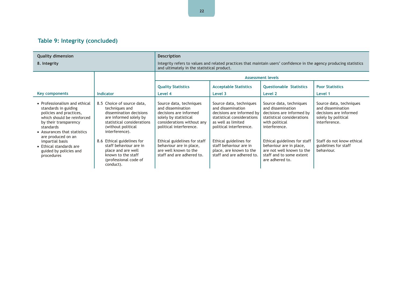# **Table 9: Integrity (concluded)**

| <b>Quality dimension</b>                                                                                                                                                                                                                                                                         |                                                                                                                                                                                                                                                                                                                   | <b>Description</b>                                                                                                                                                                                                                                                        |                                                                                                                                                                                                                                                                      |                                                                                                                                                                                                                                                                                   |                                                                                                                                                                                   |
|--------------------------------------------------------------------------------------------------------------------------------------------------------------------------------------------------------------------------------------------------------------------------------------------------|-------------------------------------------------------------------------------------------------------------------------------------------------------------------------------------------------------------------------------------------------------------------------------------------------------------------|---------------------------------------------------------------------------------------------------------------------------------------------------------------------------------------------------------------------------------------------------------------------------|----------------------------------------------------------------------------------------------------------------------------------------------------------------------------------------------------------------------------------------------------------------------|-----------------------------------------------------------------------------------------------------------------------------------------------------------------------------------------------------------------------------------------------------------------------------------|-----------------------------------------------------------------------------------------------------------------------------------------------------------------------------------|
| 8. Integrity                                                                                                                                                                                                                                                                                     |                                                                                                                                                                                                                                                                                                                   | Integrity refers to values and related practices that maintain users' confidence in the agency producing statistics<br>and ultimately in the statistical product.                                                                                                         |                                                                                                                                                                                                                                                                      |                                                                                                                                                                                                                                                                                   |                                                                                                                                                                                   |
|                                                                                                                                                                                                                                                                                                  | <b>Assessment levels</b>                                                                                                                                                                                                                                                                                          |                                                                                                                                                                                                                                                                           |                                                                                                                                                                                                                                                                      |                                                                                                                                                                                                                                                                                   |                                                                                                                                                                                   |
|                                                                                                                                                                                                                                                                                                  |                                                                                                                                                                                                                                                                                                                   | <b>Quality Statistics</b>                                                                                                                                                                                                                                                 | <b>Acceptable Statistics</b>                                                                                                                                                                                                                                         | <b>Questionable Statistics</b>                                                                                                                                                                                                                                                    | <b>Poor Statistics</b>                                                                                                                                                            |
| <b>Key components</b>                                                                                                                                                                                                                                                                            | <b>Indicator</b>                                                                                                                                                                                                                                                                                                  | Level 4                                                                                                                                                                                                                                                                   | Level 3                                                                                                                                                                                                                                                              | Level 2                                                                                                                                                                                                                                                                           | Level 1                                                                                                                                                                           |
| • Professionalism and ethical<br>standards in guiding<br>policies and practices,<br>which should be reinforced<br>by their transparency<br>standards<br>• Assurances that statistics<br>are produced on an<br>impartial basis<br>• Ethical standards are<br>guided by policies and<br>procedures | 8.5 Choice of source data,<br>techniques and<br>dissemination decisions<br>are informed solely by<br>statistical considerations<br>(without political<br>interference).<br>8.6 Ethical guidelines for<br>staff behaviour are in<br>place and are well<br>known to the staff<br>(professional code of<br>conduct). | Source data, techniques<br>and dissemination<br>decisions are informed<br>solely by statistical<br>considerations without any<br>political interference.<br>Ethical guidelines for staff<br>behaviour are in place,<br>are well known to the<br>staff and are adhered to. | Source data, techniques<br>and dissemination<br>decisions are informed by<br>statistical considerations<br>as well as limited<br>political interference.<br>Ethical guidelines for<br>staff behaviour are in<br>place, are known to the<br>staff and are adhered to. | Source data, techniques<br>and dissemination<br>decisions are informed by<br>statistical considerations<br>with political<br>interference.<br>Ethical guidelines for staff<br>behaviour are in place,<br>are not well known to the<br>staff and to some extent<br>are adhered to. | Source data, techniques<br>and dissemination<br>decisions are informed<br>solely by political<br>interference.<br>Staff do not know ethical<br>guidelines for staff<br>behaviour. |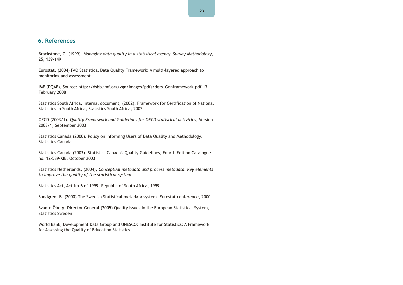## **6. References**

Brackstone, G. (1999). *Managing data quality in a statistical agency. Survey Methodology*, 25, 139**–**149

Eurostat, (2004) FAO Statistical Data Quality Framework: A multi-layered approach to monitoring and assessment

IMF (DQAF), Source: http://dsbb.imf.org/vgn/images/pdfs/dqrs\_Genframework.pdf 13 February 2008

Statistics South Africa, Internal document, (2002), Framework for Certification of National Statistics in South Africa, Statistics South Africa, 2002

OECD (2003/1). *Quality Framework and Guidelines for OECD statistical activities*, Version 2003/1, September 2003

Statistics Canada (2000). Policy on Informing Users of Data Quality and Methodology. Statistics Canada

Statistics Canada (2003). Statistics Canada's Quality Guidelines, Fourth Edition Catalogue no. 12-539-XIE, October 2003

Statistics Netherlands, (2004), *Conceptual metadata and process metadata: Key elements to improve the quality of the statistical system*

Statistics Act, Act No.6 of 1999, Republic of South Africa, 1999

Sundgren, B. (2000) The Swedish Statistical metadata system. Eurostat conference, 2000

Svante Öberg, Director General (2005) Quality Issues in the European Statistical System, Statistics Sweden

World Bank, Development Data Group and UNESCO: Institute for Statistics: A Framework for Assessing the Quality of Education Statistics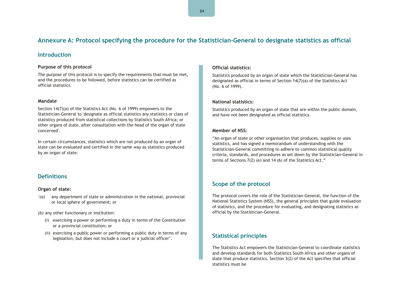## **Annexure A: Protocol specifying the procedure for the Statistician-General to designate statistics as official**

#### **Introduction**

#### **Purpose of this protocol**

The purpose of this protocol is to specify the requirements that must be met, and the procedures to be followed, before statistics can be certified as official statistics.

#### **Mandate**

Section 14(7)(a) of the Statistics Act (No. 6 of 1999) empowers to the Statistician-General to 'designate as official statistics any statistics or class of statistics produced from statistical collections by Statistics South Africa; or other organs of state, after consultation with the head of the organ of state concerned'.

In certain circumstances, statistics which are not produced by an organ of state can be evaluated and certified in the same way as statistics produced by an organ of state.

#### **Definitions**

#### **Organ of state:**

*'(a)* any department of state or administration in the national, provincial or local sphere of government; or

*(b)* any other functionary or institution:

- (i) exercising a power or performing a duty in terms of the Constitution or a provincial constitution; or
- (ii) exercising a public power or performing a public duty in terms of any legislation, but does not include a court or a judicial officer'.

#### **Official statistics:**

Statistics produced by an organ of state which the Statistician-General has designated as official in terms of Section 14(7)(a) of the Statistics Act (No. 6 of 1999).

#### **National statistics:**

Statistics produced by an organ of state that are within the public domain, and have not been designated as official statistics.

#### **Member of NSS:**

"An organ of state or other organisation that produces, supplies or uses statistics, and has signed a memorandum of understanding with the Statistician-General committing to adhere to common statistical quality criteria, standards, and procedures as set down by the Statistician-General in terms of Sections 7(2) (e) and 14 (6) of the Statistics Act."

#### **Scope of the protocol**

The protocol covers the role of the Statistician-General, the function of the National Statistics System (NSS), the general principles that guide evaluation of statistics, and the procedure for evaluating, and designating statistics as official by the Statistician-General.

#### **Statistical principles**

The Statistics Act empowers the Statistician-General to coordinate statistics and develop standards for both Statistics South Africa and other organs of state that produce statistics. Section 3(2) of the Act specifies that official statistics must be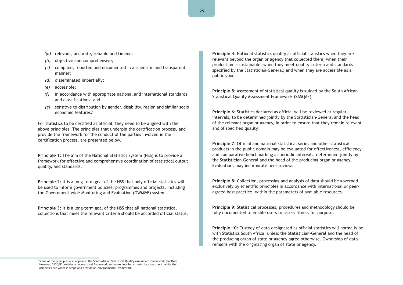- *(b)* objective and comprehensive;
- *(c)* compiled, reported and documented in a scientific and transparent manner;
- *(d)* disseminated impartially;
- *(e)* accessible;
- *(f)* in accordance with appropriate national and international standards and classifications; and
- *(g)* sensitive to distribution by gender, disability, region and similar socio economic features.'

For statistics to be certified as official, they need to be aligned with the above principles. The principles that underpin the certification process, and provide the framework for the conduct of the parties involved in the certification process, are presented below. $^{2}$ 

**Principle 1:** The aim of the National Statistics System (NSS) is to provide a framework for effective and comprehensive coordination of statistical output, quality, and standards.

**Principle 2:** It is a long-term goal of the NSS that only official statistics will be used to inform government policies, programmes and projects, including the Government-wide Monitoring and Evaluation (GWM&E) system.

**Principle 3:** It is a long-term goal of the NSS that all national statistical collections that meet the relevant criteria should be accorded official status.

**Principle 4:** National statistics qualify as official statistics when they are relevant beyond the organ or agency that collected them; when their production is sustainable; when they meet quality criteria and standards specified by the Statistician-General; and when they are accessible as a public good.

**Principle 5:** Assessment of statistical quality is guided by the South African Statistical Quality Assessment Framework (SASQAF).

**Principle 6:** Statistics declared as official will be reviewed at regular intervals, to be determined jointly by the Statistician-General and the head of the relevant organ or agency, in order to ensure that they remain relevant and of specified quality.

**Principle 7:** Official and national statistical series and other statistical products in the public domain may be evaluated for effectiveness, efficiency and comparative benchmarking at periodic intervals, determined jointly by the Statistician-General and the head of the producing organ or agency. Evaluations may incorporate peer reviews.

**Principle 8:** Collection, processing and analysis of data should be governed exclusively by scientific principles in accordance with international or peeragreed best practice, within the parameters of available resources.

**Principle 9:** Statistical processes, procedures and methodology should be fully documented to enable users to assess fitness for purpose.

**Principle 10:** Custody of data designated as official statistics will normally be with Statistics South Africa, unless the Statistician-General and the head of the producing organ of state or agency agree otherwise. Ownership of data remains with the originating organ of state or agency.

<sup>&</sup>lt;sup>2</sup> Some of the principles also appear in the South African Statistical Quality Assessment Framework (SASQAF). However, SASQAF provides an operational framework and more detailed criteria for assessment, while the principles are wider in scope and provide an 'environmental' framework.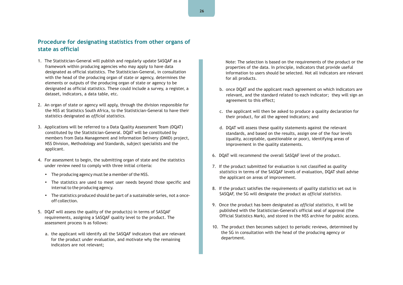**Procedure for designating statistics from other organs of state as official** 

- 1. The Statistician-General will publish and regularly update SASQAF as a framework within producing agencies who may apply to have data designated as official statistics. The Statistician-General, in consultation with the head of the producing organ of state or agency, determines the elements or outputs of the producing organ of state or agency to be designated as official statistics. These could include a survey, a register, a dataset, indicators, a data table, etc.
- 2. An organ of state or agency will apply, through the division responsible for the NSS at Statistics South Africa, to the Statistician-General to have their statistics designated as *official statistics.*
- 3. Applications will be referred to a Data Quality Assessment Team (DQAT) constituted by the Statistician-General. DQAT will be constituted by members from Data Management and Information Delivery (DMID) project, NSS Division, Methodology and Standards, subject specialists and the applicant.
- 4. For assessment to begin, the submitting organ of state and the statistics under review need to comply with three initial criteria:
	- The producing agency must be a member of the NSS.
	- The statistics are used to meet user needs beyond those specific and internal to the producing agency.
	- The statistics produced should be part of a sustainable series, not a onceoff collection.
- 5. DQAT will assess the quality of the product(s) in terms of SASQAF requirements, assigning a SASQAF quality level to the product. The assessment process is as follows:
	- a. the applicant will identify all the SASQAF indicators that are relevant for the product under evaluation, and motivate why the remaining indicators are not relevant;

Note: The selection is based on the requirements of the product or the properties of the data. In principle, indicators that provide useful information to users should be selected. Not all indicators are relevant for all products.

- b. once DQAT and the applicant reach agreement on which indicators are relevant, and the standard related to each indicator; they will sign an agreement to this effect;
- c. the applicant will then be asked to produce a quality declaration for their product, for all the agreed indicators; and
- d. DQAT will assess these quality statements against the relevant standards, and based on the results, assign one of the four levels (quality, acceptable, questionable or poor), identifying areas of improvement in the quality statements.
- 6. DQAT will recommend the overall SASQAF level of the product.
- 7. If the product submitted for evaluation is not classified as *quality statistics* in terms of the SASQAF levels of evaluation, DQAT shall advise the applicant on areas of improvement.
- 8. If the product satisfies the requirements of *quality statistics* set out in SASQAF, the SG will designate the product as *official statistics*.
- 9. Once the product has been designated as *official statistics*, it will be published with the Statistician-General's official seal of approval (the Official Statistics Mark), and stored in the NSS archive for public access.
- 10. The product then becomes subject to periodic reviews, determined by the SG in consultation with the head of the producing agency or department.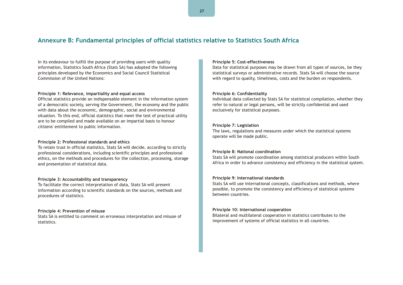## **Annexure B: Fundamental principles of official statistics relative to Statistics South Africa**

In its endeavour to fulfill the purpose of providing users with quality information, Statistics South Africa (Stats SA) has adopted the following principles developed by the Economics and Social Council Statistical Commission of the United Nations:

#### **Principle 1: Relevance, impartiality and equal access**

Official statistics provide an indispensable element in the information system of a democratic society, serving the Government, the economy and the public with data about the economic, demographic, social and environmental situation. To this end, official statistics that meet the test of practical utility are to be compiled and made available on an impartial basis to honour citizens' entitlement to public information.

#### **Principle 2: Professional standards and ethics**

To retain trust in official statistics, Stats SA will decide, according to strictly professional considerations, including scientific principles and professional ethics, on the methods and procedures for the collection, processing, storage and presentation of statistical data.

#### **Principle 3: Accountability and transparency**

To facilitate the correct interpretation of data, Stats SA will present information according to scientific standards on the sources, methods and procedures of statistics.

#### **Principle 4: Prevention of misuse**

Stats SA is entitled to comment on erroneous interpretation and misuse of statistics.

#### **Principle 5: Cost-effectiveness**

Data for statistical purposes may be drawn from all types of sources, be they statistical surveys or administrative records. Stats SA will choose the source with regard to quality, timeliness, costs and the burden on respondents.

#### **Principle 6: Confidentiality**

Individual data collected by Stats SA for statistical compilation, whether they refer to natural or legal persons, will be strictly confidential and used exclusively for statistical purposes.

#### **Principle 7: Legislation**

The laws, regulations and measures under which the statistical systems operate will be made public.

#### **Principle 8: National coordination**

Stats SA will promote coordination among statistical producers within South Africa in order to advance consistency and efficiency in the statistical system.

#### **Principle 9: International standards**

Stats SA will use international concepts, classifications and methods, where possible, to promote the consistency and efficiency of statistical systems between countries.

#### **Principle 10: International cooperation**

Bilateral and multilateral cooperation in statistics contributes to the improvement of systems of official statistics in all countries.